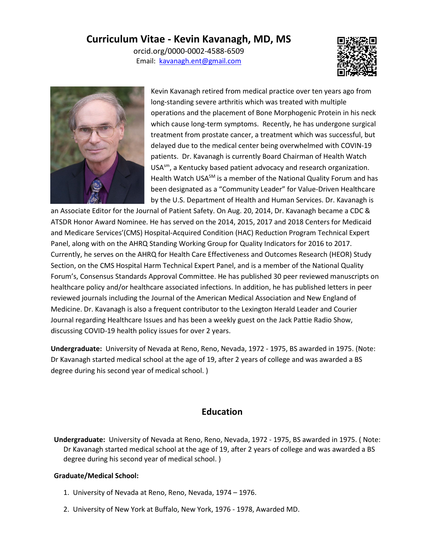# **Curriculum Vitae - Kevin Kavanagh, MD, MS**

orcid.org/0000-0002-4588-6509 Email: [kavanagh.ent@gmail.com](mailto:kavanagh.ent@gmail.com) 





Kevin Kavanagh retired from medical practice over ten years ago from long-standing severe arthritis which was treated with multiple operations and the placement of Bone Morphogenic Protein in his neck which cause long-term symptoms. Recently, he has undergone surgical treatment from prostate cancer, a treatment which was successful, but delayed due to the medical center being overwhelmed with COVIN-19 patients. Dr. Kavanagh is currently Board Chairman of Health Watch USAsm, a Kentucky based patient advocacy and research organization. Health Watch USA<sup>SM</sup> is a member of the National Quality Forum and has been designated as a "Community Leader" for Value-Driven Healthcare by the U.S. Department of Health and Human Services. Dr. Kavanagh is

an Associate Editor for the Journal of Patient Safety. On Aug. 20, 2014, Dr. Kavanagh became a CDC & ATSDR Honor Award Nominee. He has served on the 2014, 2015, 2017 and 2018 Centers for Medicaid and Medicare Services'(CMS) Hospital-Acquired Condition (HAC) Reduction Program Technical Expert Panel, along with on the AHRQ Standing Working Group for Quality Indicators for 2016 to 2017. Currently, he serves on the AHRQ for Health Care Effectiveness and Outcomes Research (HEOR) Study Section, on the CMS Hospital Harm Technical Expert Panel, and is a member of the National Quality Forum's, Consensus Standards Approval Committee. He has published 30 peer reviewed manuscripts on healthcare policy and/or healthcare associated infections. In addition, he has published letters in peer reviewed journals including the Journal of the American Medical Association and New England of Medicine. Dr. Kavanagh is also a frequent contributor to the Lexington Herald Leader and Courier Journal regarding Healthcare Issues and has been a weekly guest on the Jack Pattie Radio Show, discussing COVID-19 health policy issues for over 2 years.

**Undergraduate:** University of Nevada at Reno, Reno, Nevada, 1972 - 1975, BS awarded in 1975. (Note: Dr Kavanagh started medical school at the age of 19, after 2 years of college and was awarded a BS degree during his second year of medical school. )

#### **Education**

**Undergraduate:** University of Nevada at Reno, Reno, Nevada, 1972 - 1975, BS awarded in 1975. ( Note: Dr Kavanagh started medical school at the age of 19, after 2 years of college and was awarded a BS degree during his second year of medical school. )

#### **Graduate/Medical School:**

- 1. University of Nevada at Reno, Reno, Nevada, 1974 1976.
- 2. University of New York at Buffalo, New York, 1976 1978, Awarded MD.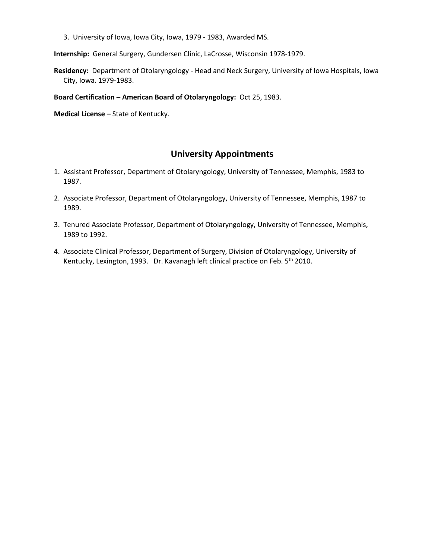3. University of Iowa, Iowa City, Iowa, 1979 - 1983, Awarded MS.

**Internship:** General Surgery, Gundersen Clinic, LaCrosse, Wisconsin 1978-1979.

**Residency:** Department of Otolaryngology - Head and Neck Surgery, University of Iowa Hospitals, Iowa City, Iowa. 1979-1983.

**Board Certification – American Board of Otolaryngology:** Oct 25, 1983.

**Medical License –** State of Kentucky.

### **University Appointments**

- 1. Assistant Professor, Department of Otolaryngology, University of Tennessee, Memphis, 1983 to 1987.
- 2. Associate Professor, Department of Otolaryngology, University of Tennessee, Memphis, 1987 to 1989.
- 3. Tenured Associate Professor, Department of Otolaryngology, University of Tennessee, Memphis, 1989 to 1992.
- 4. Associate Clinical Professor, Department of Surgery, Division of Otolaryngology, University of Kentucky, Lexington, 1993. Dr. Kavanagh left clinical practice on Feb. 5<sup>th</sup> 2010.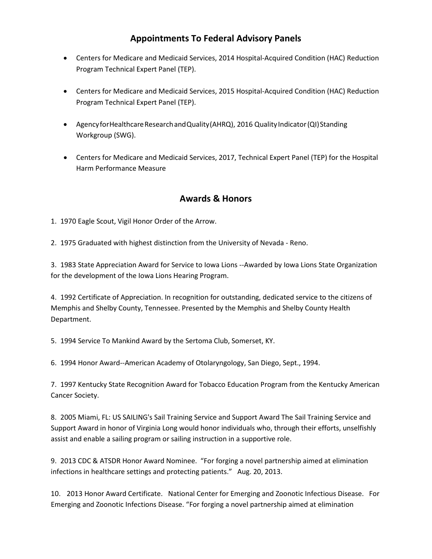# **Appointments To Federal Advisory Panels**

- Centers for Medicare and Medicaid Services, 2014 Hospital-Acquired Condition (HAC) Reduction Program Technical Expert Panel (TEP).
- Centers for Medicare and Medicaid Services, 2015 Hospital-Acquired Condition (HAC) Reduction Program Technical Expert Panel (TEP).
- Agency for Healthcare Research and Quality (AHRQ), 2016 Quality Indicator (QI) Standing Workgroup (SWG).
- Centers for Medicare and Medicaid Services, 2017, Technical Expert Panel (TEP) for the Hospital Harm Performance Measure

## **Awards & Honors**

1. 1970 Eagle Scout, Vigil Honor Order of the Arrow.

2. 1975 Graduated with highest distinction from the University of Nevada - Reno.

3. 1983 State Appreciation Award for Service to Iowa Lions --Awarded by Iowa Lions State Organization for the development of the Iowa Lions Hearing Program.

4. 1992 Certificate of Appreciation. In recognition for outstanding, dedicated service to the citizens of Memphis and Shelby County, Tennessee. Presented by the Memphis and Shelby County Health Department.

5. 1994 Service To Mankind Award by the Sertoma Club, Somerset, KY.

6. 1994 Honor Award--American Academy of Otolaryngology, San Diego, Sept., 1994.

7. 1997 Kentucky State Recognition Award for Tobacco Education Program from the Kentucky American Cancer Society.

8. 2005 Miami, FL: US SAILING's Sail Training Service and Support Award The Sail Training Service and Support Award in honor of Virginia Long would honor individuals who, through their efforts, unselfishly assist and enable a sailing program or sailing instruction in a supportive role.

9. 2013 CDC & ATSDR Honor Award Nominee. "For forging a novel partnership aimed at elimination infections in healthcare settings and protecting patients." Aug. 20, 2013.

10. 2013 Honor Award Certificate. National Center for Emerging and Zoonotic Infectious Disease. For Emerging and Zoonotic Infections Disease. "For forging a novel partnership aimed at elimination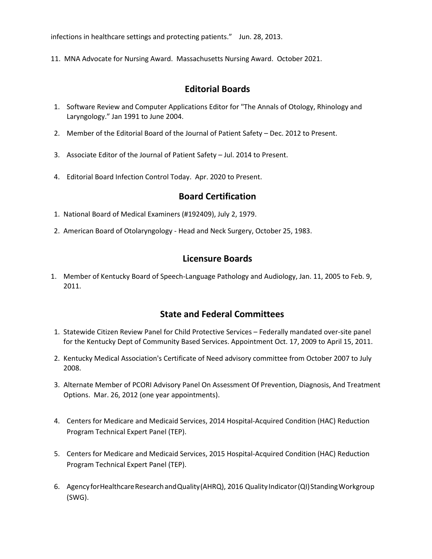infections in healthcare settings and protecting patients." Jun. 28, 2013.

11. MNA Advocate for Nursing Award. Massachusetts Nursing Award. October 2021.

## **Editorial Boards**

- 1. Software Review and Computer Applications Editor for "The Annals of Otology, Rhinology and Laryngology." Jan 1991 to June 2004.
- 2. Member of the Editorial Board of the Journal of Patient Safety Dec. 2012 to Present.
- 3. Associate Editor of the Journal of Patient Safety Jul. 2014 to Present.
- 4. Editorial Board Infection Control Today. Apr. 2020 to Present.

### **Board Certification**

- 1. National Board of Medical Examiners (#192409), July 2, 1979.
- 2. American Board of Otolaryngology Head and Neck Surgery, October 25, 1983.

#### **Licensure Boards**

1. Member of Kentucky Board of Speech-Language Pathology and Audiology, Jan. 11, 2005 to Feb. 9, 2011.

#### **State and Federal Committees**

- 1. Statewide Citizen Review Panel for Child Protective Services Federally mandated over-site panel for the Kentucky Dept of Community Based Services. Appointment Oct. 17, 2009 to April 15, 2011.
- 2. Kentucky Medical Association's Certificate of Need advisory committee from October 2007 to July 2008.
- 3. Alternate Member of PCORI Advisory Panel On Assessment Of Prevention, Diagnosis, And Treatment Options. Mar. 26, 2012 (one year appointments).
- 4. Centers for Medicare and Medicaid Services, 2014 Hospital-Acquired Condition (HAC) Reduction Program Technical Expert Panel (TEP).
- 5. Centers for Medicare and Medicaid Services, 2015 Hospital-Acquired Condition (HAC) Reduction Program Technical Expert Panel (TEP).
- 6. Agency for Healthcare Research and Quality (AHRQ), 2016 Quality Indicator (QI) Standing Workgroup (SWG).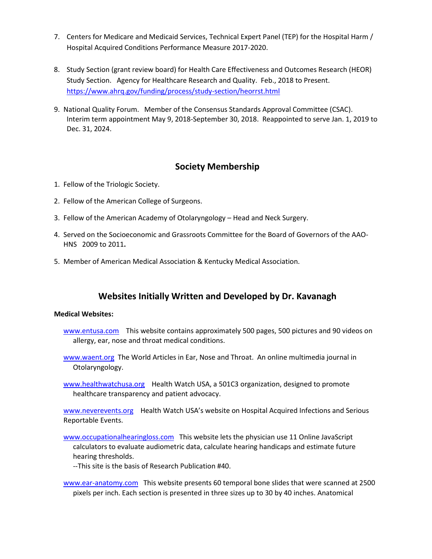- 7. Centers for Medicare and Medicaid Services, Technical Expert Panel (TEP) for the Hospital Harm / Hospital Acquired Conditions Performance Measure 2017-2020.
- 8. Study Section (grant review board) for Health Care Effectiveness and Outcomes Research (HEOR) Study Section. Agency for Healthcare Research and Quality. Feb., 2018 to Present. <https://www.ahrq.gov/funding/process/study-section/heorrst.html>
- 9. National Quality Forum. Member of the Consensus Standards Approval Committee (CSAC). Interim term appointment May 9, 2018-September 30, 2018. Reappointed to serve Jan. 1, 2019 to Dec. 31, 2024.

### **Society Membership**

- 1. Fellow of the Triologic Society.
- 2. Fellow of the American College of Surgeons.
- 3. Fellow of the American Academy of Otolaryngology Head and Neck Surgery.
- 4. Served on the Socioeconomic and Grassroots Committee for the Board of Governors of the AAO-HNS 2009 to 2011**.**
- 5. Member of American Medical Association & Kentucky Medical Association.

## **Websites Initially Written and Developed by Dr. Kavanagh**

#### **Medical Websites:**

- [www.entusa.com](http://www.entusa.com/) This website contains approximately 500 pages, 500 pictures and 90 videos on allergy, ear, nose and throat medical conditions.
- [www.waent.org](http://www.waent.org/) The World Articles in Ear, Nose and Throat. An online multimedia journal in Otolaryngology.
- [www.healthwatchusa.org](http://www.healthwatchusa.org/) Health Watch USA, a 501C3 organization, designed to promote healthcare transparency and patient advocacy.

[www.neverevents.org](http://www.neverevents.org/) Health Watch USA's website on Hospital Acquired Infections and Serious Reportable Events.

[www.occupationalhearingloss.com](http://www.occupationalhearingloss.com/) This website lets the physician use 11 Online JavaScript calculators to evaluate audiometric data, calculate hearing handicaps and estimate future hearing thresholds.

--This site is the basis of Research Publication #40.

[www.ear-anatomy.com](http://www.ear-anatomy.com/) This website presents 60 temporal bone slides that were scanned at 2500 pixels per inch. Each section is presented in three sizes up to 30 by 40 inches. Anatomical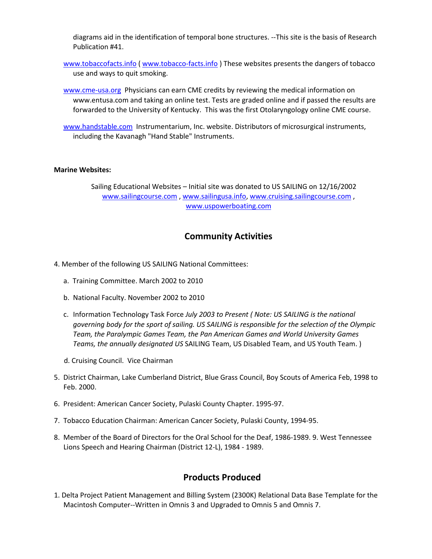diagrams aid in the identification of temporal bone structures. --This site is the basis of Research Publication #41.

- [www.tobaccofacts.info](http://www.tobaccofacts.info/) (www.tobacco-facts.info) These websites presents the dangers of tobacco use and ways to quit smoking.
- [www.cme-usa.org](http://www.cme-usa.org/) Physicians can earn CME credits by reviewing the medical information on www.entusa.com and taking an online test. Tests are graded online and if passed the results are forwarded to the University of Kentucky. This was the first Otolaryngology online CME course.
- [www.handstable.com](http://www.handstable.com/) Instrumentarium, Inc. website. Distributors of microsurgical instruments, including the Kavanagh "Hand Stable" Instruments.

#### **Marine Websites:**

Sailing Educational Websites – Initial site was donated to US SAILING on 12/16/2002 [www.sailingcourse.com](http://www.sailingcourse.com/), [www.sailingusa.info,](http://www.sailingusa.info/) [www.cruising.sailingcourse.com](http://www.cruising.sailingcourse.com/), [www.uspowerboating.com](http://www.uspowerboating.com/)

#### **Community Activities**

- 4. Member of the following US SAILING National Committees:
	- a. Training Committee. March 2002 to 2010
	- b. National Faculty. November 2002 to 2010
	- c. Information Technology Task Force *July 2003 to Present ( Note: US SAILING is the national governing body for the sport of sailing. US SAILING is responsible for the selection of the Olympic Team, the Paralympic Games Team, the Pan American Games and World University Games Teams, the annually designated US* SAILING Team, US Disabled Team, and US Youth Team. )
	- d. Cruising Council. Vice Chairman
- 5. District Chairman, Lake Cumberland District, Blue Grass Council, Boy Scouts of America Feb, 1998 to Feb. 2000.
- 6. President: American Cancer Society, Pulaski County Chapter. 1995-97.
- 7. Tobacco Education Chairman: American Cancer Society, Pulaski County, 1994-95.
- 8. Member of the Board of Directors for the Oral School for the Deaf, 1986-1989. 9. West Tennessee Lions Speech and Hearing Chairman (District 12-L), 1984 - 1989.

## **Products Produced**

1. Delta Project Patient Management and Billing System (2300K) Relational Data Base Template for the Macintosh Computer--Written in Omnis 3 and Upgraded to Omnis 5 and Omnis 7.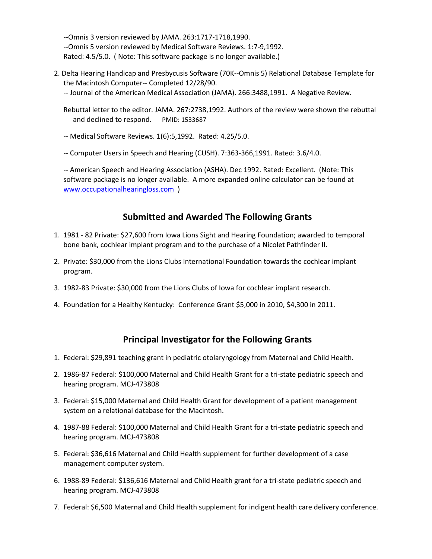--Omnis 3 version reviewed by JAMA. 263:1717-1718,1990. --Omnis 5 version reviewed by Medical Software Reviews. 1:7-9,1992. Rated: 4.5/5.0. ( Note: This software package is no longer available.)

- 2. Delta Hearing Handicap and Presbycusis Software (70K--Omnis 5) Relational Database Template for the Macintosh Computer-- Completed 12/28/90. -- Journal of the American Medical Association (JAMA). 266:3488,1991. A Negative Review.
	- Rebuttal letter to the editor. JAMA. 267:2738,1992. Authors of the review were shown the rebuttal and declined to respond. PMID: 1533687
	- -- Medical Software Reviews. 1(6):5,1992. Rated: 4.25/5.0.
	- -- Computer Users in Speech and Hearing (CUSH). 7:363-366,1991. Rated: 3.6/4.0.

-- American Speech and Hearing Association (ASHA). Dec 1992. Rated: Excellent. (Note: This software package is no longer available. A more expanded online calculator can be found at [www.occupationalhearingloss.com](http://www.occupationalhearingloss.com/) )

## **Submitted and Awarded The Following Grants**

- 1. 1981 82 Private: \$27,600 from Iowa Lions Sight and Hearing Foundation; awarded to temporal bone bank, cochlear implant program and to the purchase of a Nicolet Pathfinder II.
- 2. Private: \$30,000 from the Lions Clubs International Foundation towards the cochlear implant program.
- 3. 1982-83 Private: \$30,000 from the Lions Clubs of Iowa for cochlear implant research.
- 4. Foundation for a Healthy Kentucky: Conference Grant \$5,000 in 2010, \$4,300 in 2011.

## **Principal Investigator for the Following Grants**

- 1. Federal: \$29,891 teaching grant in pediatric otolaryngology from Maternal and Child Health.
- 2. 1986-87 Federal: \$100,000 Maternal and Child Health Grant for a tri-state pediatric speech and hearing program. MCJ-473808
- 3. Federal: \$15,000 Maternal and Child Health Grant for development of a patient management system on a relational database for the Macintosh.
- 4. 1987-88 Federal: \$100,000 Maternal and Child Health Grant for a tri-state pediatric speech and hearing program. MCJ-473808
- 5. Federal: \$36,616 Maternal and Child Health supplement for further development of a case management computer system.
- 6. 1988-89 Federal: \$136,616 Maternal and Child Health grant for a tri-state pediatric speech and hearing program. MCJ-473808
- 7. Federal: \$6,500 Maternal and Child Health supplement for indigent health care delivery conference.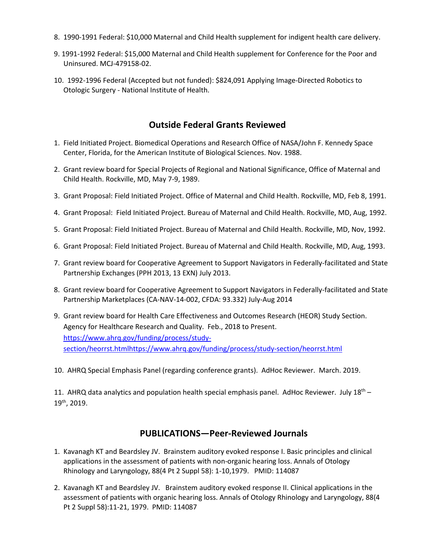- 8. 1990-1991 Federal: \$10,000 Maternal and Child Health supplement for indigent health care delivery.
- 9. 1991-1992 Federal: \$15,000 Maternal and Child Health supplement for Conference for the Poor and Uninsured. MCJ-479158-02.
- 10. 1992-1996 Federal (Accepted but not funded): \$824,091 Applying Image-Directed Robotics to Otologic Surgery - National Institute of Health.

## **Outside Federal Grants Reviewed**

- 1. Field Initiated Project. Biomedical Operations and Research Office of NASA/John F. Kennedy Space Center, Florida, for the American Institute of Biological Sciences. Nov. 1988.
- 2. Grant review board for Special Projects of Regional and National Significance, Office of Maternal and Child Health. Rockville, MD, May 7-9, 1989.
- 3. Grant Proposal: Field Initiated Project. Office of Maternal and Child Health. Rockville, MD, Feb 8, 1991.
- 4. Grant Proposal: Field Initiated Project. Bureau of Maternal and Child Health. Rockville, MD, Aug, 1992.
- 5. Grant Proposal: Field Initiated Project. Bureau of Maternal and Child Health. Rockville, MD, Nov, 1992.
- 6. Grant Proposal: Field Initiated Project. Bureau of Maternal and Child Health. Rockville, MD, Aug, 1993.
- 7. Grant review board for Cooperative Agreement to Support Navigators in Federally-facilitated and State Partnership Exchanges (PPH 2013, 13 EXN) July 2013.
- 8. Grant review board for Cooperative Agreement to Support Navigators in Federally-facilitated and State Partnership Marketplaces (CA-NAV-14-002, CFDA: 93.332) July-Aug 2014
- 9. Grant review board for Health Care Effectiveness and Outcomes Research (HEOR) Study Section. Agency for Healthcare Research and Quality. Feb., 2018 to Present. [https://www.ahrq.gov/funding/process/study](https://www.ahrq.gov/funding/process/study-section/heorrst.htmlhttps:/www.ahrq.gov/funding/process/study-section/heorrst.html)[section/heorrst.htmlhttps://www.ahrq.gov/funding/process/study-section/heorrst.html](https://www.ahrq.gov/funding/process/study-section/heorrst.htmlhttps:/www.ahrq.gov/funding/process/study-section/heorrst.html)
- 10. AHRQ Special Emphasis Panel (regarding conference grants). AdHoc Reviewer. March. 2019.

11. AHRQ data analytics and population health special emphasis panel. AdHoc Reviewer. July  $18<sup>th</sup>$  – 19th, 2019.

## **PUBLICATIONS—Peer-Reviewed Journals**

- 1. Kavanagh KT and Beardsley JV. Brainstem auditory evoked response I. Basic principles and clinical applications in the assessment of patients with non-organic hearing loss. Annals of Otology Rhinology and Laryngology, 88(4 Pt 2 Suppl 58): 1-10,1979. PMID: 114087
- 2. Kavanagh KT and Beardsley JV. Brainstem auditory evoked response II. Clinical applications in the assessment of patients with organic hearing loss. Annals of Otology Rhinology and Laryngology, 88(4 Pt 2 Suppl 58):11-21, 1979. PMID: 114087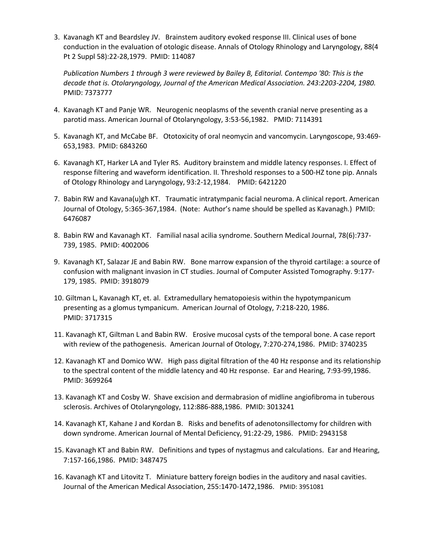3. Kavanagh KT and Beardsley JV. Brainstem auditory evoked response III. Clinical uses of bone conduction in the evaluation of otologic disease. Annals of Otology Rhinology and Laryngology, 88(4 Pt 2 Suppl 58):22-28,1979. PMID: 114087

*Publication Numbers 1 through 3 were reviewed by Bailey B, Editorial. Contempo '80: This is the decade that is. Otolaryngology, Journal of the American Medical Association. 243:2203-2204, 1980.* PMID: 7373777

- 4. Kavanagh KT and Panje WR. Neurogenic neoplasms of the seventh cranial nerve presenting as a parotid mass. American Journal of Otolaryngology, 3:53-56,1982. PMID: 7114391
- 5. Kavanagh KT, and McCabe BF. Ototoxicity of oral neomycin and vancomycin. Laryngoscope, 93:469- 653,1983. PMID: 6843260
- 6. Kavanagh KT, Harker LA and Tyler RS. Auditory brainstem and middle latency responses. I. Effect of response filtering and waveform identification. II. Threshold responses to a 500-HZ tone pip. Annals of Otology Rhinology and Laryngology, 93:2-12,1984. PMID: 6421220
- 7. Babin RW and Kavana(u)gh KT. Traumatic intratympanic facial neuroma. A clinical report. American Journal of Otology, 5:365-367,1984. (Note: Author's name should be spelled as Kavanagh.) PMID: 6476087
- 8. Babin RW and Kavanagh KT. Familial nasal acilia syndrome. Southern Medical Journal, 78(6):737- 739, 1985. PMID: 4002006
- 9. Kavanagh KT, Salazar JE and Babin RW. Bone marrow expansion of the thyroid cartilage: a source of confusion with malignant invasion in CT studies. Journal of Computer Assisted Tomography. 9:177- 179, 1985. PMID: 3918079
- 10. Giltman L, Kavanagh KT, et. al. Extramedullary hematopoiesis within the hypotympanicum presenting as a glomus tympanicum. American Journal of Otology, 7:218-220, 1986. PMID: 3717315
- 11. Kavanagh KT, Giltman L and Babin RW. Erosive mucosal cysts of the temporal bone. A case report with review of the pathogenesis. American Journal of Otology, 7:270-274,1986. PMID: 3740235
- 12. Kavanagh KT and Domico WW. High pass digital filtration of the 40 Hz response and its relationship to the spectral content of the middle latency and 40 Hz response. Ear and Hearing, 7:93-99,1986. PMID: 3699264
- 13. Kavanagh KT and Cosby W. Shave excision and dermabrasion of midline angiofibroma in tuberous sclerosis. Archives of Otolaryngology, 112:886-888,1986. PMID: 3013241
- 14. Kavanagh KT, Kahane J and Kordan B. Risks and benefits of adenotonsillectomy for children with down syndrome. American Journal of Mental Deficiency, 91:22-29, 1986. PMID: 2943158
- 15. Kavanagh KT and Babin RW. Definitions and types of nystagmus and calculations. Ear and Hearing, 7:157-166,1986. PMID: 3487475
- 16. Kavanagh KT and Litovitz T. Miniature battery foreign bodies in the auditory and nasal cavities. Journal of the American Medical Association, 255:1470-1472,1986. PMID: 3951081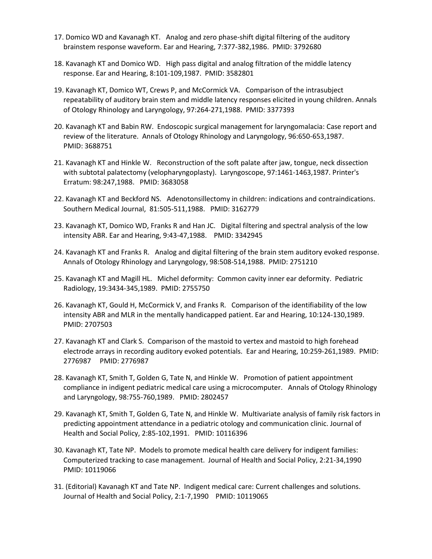- 17. Domico WD and Kavanagh KT. Analog and zero phase-shift digital filtering of the auditory brainstem response waveform. Ear and Hearing, 7:377-382,1986. PMID: 3792680
- 18. Kavanagh KT and Domico WD. High pass digital and analog filtration of the middle latency response. Ear and Hearing, 8:101-109,1987. PMID: 3582801
- 19. Kavanagh KT, Domico WT, Crews P, and McCormick VA. Comparison of the intrasubject repeatability of auditory brain stem and middle latency responses elicited in young children. Annals of Otology Rhinology and Laryngology, 97:264-271,1988. PMID: 3377393
- 20. Kavanagh KT and Babin RW. Endoscopic surgical management for laryngomalacia: Case report and review of the literature. Annals of Otology Rhinology and Laryngology, 96:650-653,1987. PMID: 3688751
- 21. Kavanagh KT and Hinkle W. Reconstruction of the soft palate after jaw, tongue, neck dissection with subtotal palatectomy (velopharyngoplasty). Laryngoscope, 97:1461-1463,1987. Printer's Erratum: 98:247,1988. PMID: 3683058
- 22. Kavanagh KT and Beckford NS. Adenotonsillectomy in children: indications and contraindications. Southern Medical Journal, 81:505-511,1988. PMID: 3162779
- 23. Kavanagh KT, Domico WD, Franks R and Han JC. Digital filtering and spectral analysis of the low intensity ABR. Ear and Hearing, 9:43-47,1988. PMID: 3342945
- 24. Kavanagh KT and Franks R. Analog and digital filtering of the brain stem auditory evoked response. Annals of Otology Rhinology and Laryngology, 98:508-514,1988. PMID: 2751210
- 25. Kavanagh KT and Magill HL. Michel deformity: Common cavity inner ear deformity. Pediatric Radiology, 19:3434-345,1989. PMID: 2755750
- 26. Kavanagh KT, Gould H, McCormick V, and Franks R. Comparison of the identifiability of the low intensity ABR and MLR in the mentally handicapped patient. Ear and Hearing, 10:124-130,1989. PMID: 2707503
- 27. Kavanagh KT and Clark S. Comparison of the mastoid to vertex and mastoid to high forehead electrode arrays in recording auditory evoked potentials. Ear and Hearing, 10:259-261,1989. PMID: 2776987 PMID: 2776987
- 28. Kavanagh KT, Smith T, Golden G, Tate N, and Hinkle W. Promotion of patient appointment compliance in indigent pediatric medical care using a microcomputer. Annals of Otology Rhinology and Laryngology, 98:755-760,1989. PMID: 2802457
- 29. Kavanagh KT, Smith T, Golden G, Tate N, and Hinkle W. Multivariate analysis of family risk factors in predicting appointment attendance in a pediatric otology and communication clinic. Journal of Health and Social Policy, 2:85-102,1991. PMID: 10116396
- 30. Kavanagh KT, Tate NP. Models to promote medical health care delivery for indigent families: Computerized tracking to case management. Journal of Health and Social Policy, 2:21-34,1990 PMID: 10119066
- 31. (Editorial) Kavanagh KT and Tate NP. Indigent medical care: Current challenges and solutions. Journal of Health and Social Policy, 2:1-7,1990 PMID: 10119065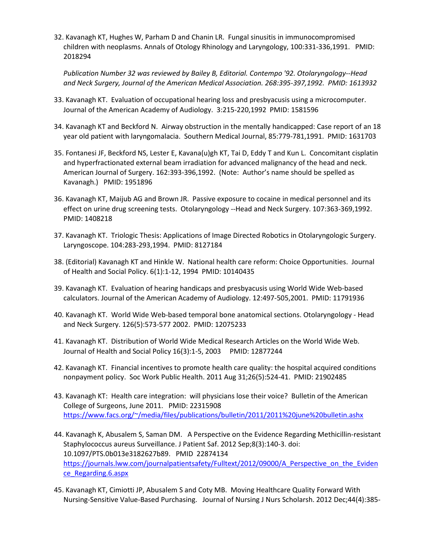32. Kavanagh KT, Hughes W, Parham D and Chanin LR. Fungal sinusitis in immunocompromised children with neoplasms. Annals of Otology Rhinology and Laryngology, 100:331-336,1991. PMID: 2018294

*Publication Number 32 was reviewed by Bailey B, Editorial. Contempo '92. Otolaryngology--Head and Neck Surgery, Journal of the American Medical Association. 268:395-397,1992. PMID: 1613932*

- 33. Kavanagh KT. Evaluation of occupational hearing loss and presbyacusis using a microcomputer. Journal of the American Academy of Audiology. 3:215-220,1992 PMID: 1581596
- 34. Kavanagh KT and Beckford N. Airway obstruction in the mentally handicapped: Case report of an 18 year old patient with laryngomalacia. Southern Medical Journal, 85:779-781,1991. PMID: 1631703
- 35. Fontanesi JF, Beckford NS, Lester E, Kavana(u)gh KT, Tai D, Eddy T and Kun L. Concomitant cisplatin and hyperfractionated external beam irradiation for advanced malignancy of the head and neck. American Journal of Surgery. 162:393-396,1992. (Note: Author's name should be spelled as Kavanagh.) PMID: 1951896
- 36. Kavanagh KT, Maijub AG and Brown JR. Passive exposure to cocaine in medical personnel and its effect on urine drug screening tests. Otolaryngology --Head and Neck Surgery. 107:363-369,1992. PMID: 1408218
- 37. Kavanagh KT. Triologic Thesis: Applications of Image Directed Robotics in Otolaryngologic Surgery. Laryngoscope. 104:283-293,1994. PMID: 8127184
- 38. (Editorial) Kavanagh KT and Hinkle W. National health care reform: Choice Opportunities. Journal of Health and Social Policy. 6(1):1-12, 1994 PMID: 10140435
- 39. Kavanagh KT. Evaluation of hearing handicaps and presbyacusis using World Wide Web-based calculators. Journal of the American Academy of Audiology. 12:497-505,2001. PMID: 11791936
- 40. Kavanagh KT. World Wide Web-based temporal bone anatomical sections. Otolaryngology Head and Neck Surgery. 126(5):573-577 2002. PMID: 12075233
- 41. Kavanagh KT. Distribution of World Wide Medical Research Articles on the World Wide Web. Journal of Health and Social Policy 16(3):1-5, 2003 PMID: 12877244
- 42. Kavanagh KT. Financial incentives to promote health care quality: the hospital acquired conditions nonpayment policy. Soc Work Public Health. 2011 Aug 31;26(5):524-41. PMID: 21902485
- 43. Kavanagh KT: Health care integration: will physicians lose their voice? Bulletin of the American College of Surgeons, June 2011. PMID: 22315908 [https://www.facs.org/~/media/files/publications/bulletin/2011/2011%20june%20bulletin.ashx](https://www.facs.org/%7E/media/files/publications/bulletin/2011/2011%20june%20bulletin.ashx)
- 44. Kavanagh K, Abusalem S, Saman DM. A Perspective on the Evidence Regarding Methicillin-resistant Staphylococcus aureus Surveillance. J Patient Saf. 2012 Sep;8(3):140-3. doi: 10.1097/PTS.0b013e3182627b89. PMID 22874134 https://journals.lww.com/journalpatientsafety/Fulltext/2012/09000/A Perspective on the Eviden ce\_Regarding.6.aspx
- 45. Kavanagh KT, Cimiotti JP, Abusalem S and Coty MB. Moving Healthcare Quality Forward With Nursing-Sensitive Value-Based Purchasing. Journal of Nursing J Nurs Scholarsh. 2012 Dec;44(4):385-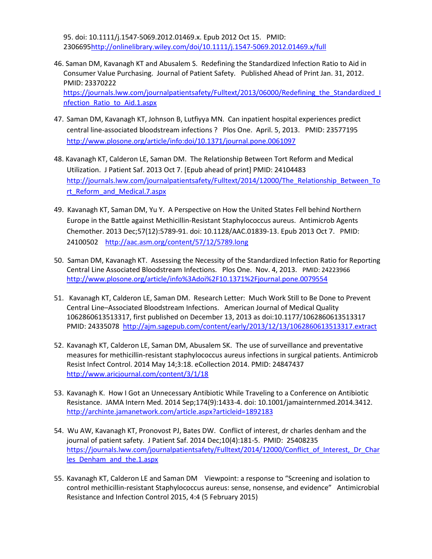95. doi: 10.1111/j.1547-5069.2012.01469.x. Epub 2012 Oct 15. PMID: 230669[5http://onlinelibrary.wiley.com/doi/10.1111/j.1547-5069.2012.01469.x/full](http://onlinelibrary.wiley.com/doi/10.1111/j.1547-5069.2012.01469.x/full) 

- 46. Saman DM, Kavanagh KT and Abusalem S. Redefining the Standardized Infection Ratio to Aid in Consumer Value Purchasing. Journal of Patient Safety. Published Ahead of Print Jan. 31, 2012. PMID: 23370222 [https://journals.lww.com/journalpatientsafety/Fulltext/2013/06000/Redefining\\_the\\_Standardized\\_I](https://journals.lww.com/journalpatientsafety/Fulltext/2013/06000/Redefining_the_Standardized_Infection_Ratio_to_Aid.1.aspx) [nfection\\_Ratio\\_to\\_Aid.1.aspx](https://journals.lww.com/journalpatientsafety/Fulltext/2013/06000/Redefining_the_Standardized_Infection_Ratio_to_Aid.1.aspx)
- 47. Saman DM, Kavanagh KT, Johnson B, Lutfiyya MN. Can inpatient hospital experiences predict central line-associated bloodstream infections ? Plos One. April. 5, 2013. PMID: 23577195 <http://www.plosone.org/article/info:doi/10.1371/journal.pone.0061097>
- 48. Kavanagh KT, Calderon LE, Saman DM. The Relationship Between Tort Reform and Medical Utilization. J Patient Saf. 2013 Oct 7. [Epub ahead of print] PMID: 24104483 [http://journals.lww.com/journalpatientsafety/Fulltext/2014/12000/The\\_Relationship\\_Between\\_To](http://journals.lww.com/journalpatientsafety/Fulltext/2014/12000/The_Relationship_Between_Tort_Reform_and_Medical.7.aspx) [rt\\_Reform\\_and\\_Medical.7.aspx](http://journals.lww.com/journalpatientsafety/Fulltext/2014/12000/The_Relationship_Between_Tort_Reform_and_Medical.7.aspx)
- 49. Kavanagh KT, Saman DM, Yu Y. A Perspective on How the United States Fell behind Northern Europe in the Battle against Methicillin-Resistant Staphylococcus aureus. Antimicrob Agents Chemother. 2013 Dec;57(12):5789-91. doi: 10.1128/AAC.01839-13. Epub 2013 Oct 7. PMID: 24100502 <http://aac.asm.org/content/57/12/5789.long>
- 50. Saman DM, Kavanagh KT. Assessing the Necessity of the Standardized Infection Ratio for Reporting Central Line Associated Bloodstream Infections. Plos One. Nov. 4, 2013. PMID: 24223966 <http://www.plosone.org/article/info%3Adoi%2F10.1371%2Fjournal.pone.0079554>
- 51. Kavanagh KT, Calderon LE, Saman DM. Research Letter: Much Work Still to Be Done to Prevent Central Line–Associated Bloodstream Infections. American Journal of Medical Quality 1062860613513317, first published on December 13, 2013 as doi:10.1177/1062860613513317 PMID: 24335078 <http://ajm.sagepub.com/content/early/2013/12/13/1062860613513317.extract>
- 52. Kavanagh KT, Calderon LE, Saman DM, Abusalem SK. The use of surveillance and preventative measures for methicillin-resistant staphylococcus aureus infections in surgical patients. Antimicrob Resist Infect Control. 2014 May 14;3:18. eCollection 2014. PMID: 24847437 <http://www.aricjournal.com/content/3/1/18>
- 53. Kavanagh K. How I Got an Unnecessary Antibiotic While Traveling to a Conference on Antibiotic Resistance. JAMA Intern Med. 2014 Sep;174(9):1433-4. doi: 10.1001/jamainternmed.2014.3412. <http://archinte.jamanetwork.com/article.aspx?articleid=1892183>
- 54. Wu AW, Kavanagh KT, Pronovost PJ, Bates DW. Conflict of interest, dr charles denham and the journal of patient safety. J Patient Saf. 2014 Dec;10(4):181-5. PMID: 25408235 [https://journals.lww.com/journalpatientsafety/Fulltext/2014/12000/Conflict\\_of\\_Interest,\\_Dr\\_Char](https://journals.lww.com/journalpatientsafety/Fulltext/2014/12000/Conflict_of_Interest,_Dr_Charles_Denham_and_the.1.aspx) [les\\_Denham\\_and\\_the.1.aspx](https://journals.lww.com/journalpatientsafety/Fulltext/2014/12000/Conflict_of_Interest,_Dr_Charles_Denham_and_the.1.aspx)
- 55. Kavanagh KT, Calderon LE and Saman DM Viewpoint: a response to "Screening and isolation to control methicillin-resistant Staphylococcus aureus: sense, nonsense, and evidence" Antimicrobial Resistance and Infection Control 2015, 4:4 (5 February 2015)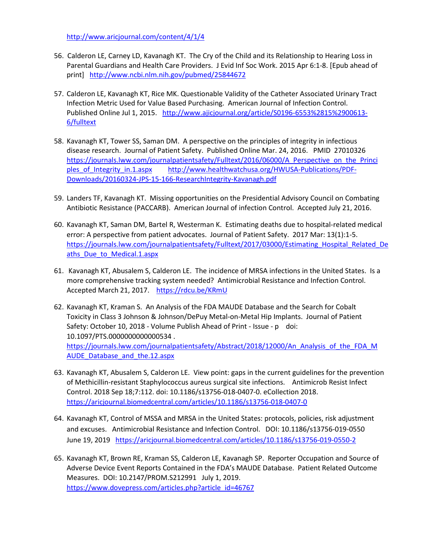<http://www.aricjournal.com/content/4/1/4>

- 56. Calderon LE, Carney LD, Kavanagh KT. The Cry of the Child and its Relationship to Hearing Loss in Parental Guardians and Health Care Providers. J Evid Inf Soc Work. 2015 Apr 6:1-8. [Epub ahead of print] <http://www.ncbi.nlm.nih.gov/pubmed/25844672>
- 57. Calderon LE, Kavanagh KT, Rice MK. Questionable Validity of the Catheter Associated Urinary Tract Infection Metric Used for Value Based Purchasing. American Journal of Infection Control. Published Online Jul 1, 2015. [http://www.ajicjournal.org/article/S0196-6553%2815%2900613-](http://www.ajicjournal.org/article/S0196-6553%2815%2900613-6/fulltext) [6/fulltext](http://www.ajicjournal.org/article/S0196-6553%2815%2900613-6/fulltext)
- 58. Kavanagh KT, Tower SS, Saman DM. A perspective on the principles of integrity in infectious disease research. Journal of Patient Safety. Published Online Mar. 24, 2016. PMID 27010326 [https://journals.lww.com/journalpatientsafety/Fulltext/2016/06000/A\\_Perspective\\_on\\_the\\_Princi](https://journals.lww.com/journalpatientsafety/Fulltext/2016/06000/A_Perspective_on_the_Principles_of_Integrity_in.1.aspx) ples of Integrity in.1.aspx [http://www.healthwatchusa.org/HWUSA-Publications/PDF-](http://www.healthwatchusa.org/HWUSA-Publications/PDF-Downloads/20160324-JPS-15-166-ResearchIntegrity-Kavanagh.pdf)[Downloads/20160324-JPS-15-166-ResearchIntegrity-Kavanagh.pdf](http://www.healthwatchusa.org/HWUSA-Publications/PDF-Downloads/20160324-JPS-15-166-ResearchIntegrity-Kavanagh.pdf)
- 59. Landers TF, Kavanagh KT. Missing opportunities on the Presidential Advisory Council on Combating Antibiotic Resistance (PACCARB). American Journal of infection Control. Accepted July 21, 2016.
- 60. Kavanagh KT, Saman DM, Bartel R, Westerman K. Estimating deaths due to hospital-related medical error: A perspective from patient advocates. Journal of Patient Safety. 2017 Mar: 13(1):1-5. [https://journals.lww.com/journalpatientsafety/Fulltext/2017/03000/Estimating\\_Hospital\\_Related\\_De](https://journals.lww.com/journalpatientsafety/Fulltext/2017/03000/Estimating_Hospital_Related_Deaths_Due_to_Medical.1.aspx) [aths\\_Due\\_to\\_Medical.1.aspx](https://journals.lww.com/journalpatientsafety/Fulltext/2017/03000/Estimating_Hospital_Related_Deaths_Due_to_Medical.1.aspx)
- 61. Kavanagh KT, Abusalem S, Calderon LE. The incidence of MRSA infections in the United States. Is a more comprehensive tracking system needed? Antimicrobial Resistance and Infection Control. Accepted March 21, 2017. https://rdcu.be/KRmU
- 62. Kavanagh KT, Kraman S. An Analysis of the FDA MAUDE Database and the Search for Cobalt Toxicity in Class 3 Johnson & Johnson/DePuy Metal-on-Metal Hip Implants. Journal of Patient Safety: October 10, 2018 - Volume Publish Ahead of Print - Issue - p doi: 10.1097/PTS.0000000000000534 . [https://journals.lww.com/journalpatientsafety/Abstract/2018/12000/An\\_Analysis\\_of\\_the\\_FDA\\_M](https://journals.lww.com/journalpatientsafety/Abstract/2018/12000/An_Analysis_of_the_FDA_MAUDE_Database_and_the.12.aspx) AUDE Database and the.12.aspx
- 63. Kavanagh KT, Abusalem S, Calderon LE. View point: gaps in the current guidelines for the prevention of Methicillin-resistant Staphylococcus aureus surgical site infections. Antimicrob Resist Infect Control. 2018 Sep 18;7:112. doi: 10.1186/s13756-018-0407-0. eCollection 2018. <https://aricjournal.biomedcentral.com/articles/10.1186/s13756-018-0407-0>
- 64. Kavanagh KT, Control of MSSA and MRSA in the United States: protocols, policies, risk adjustment and excuses. Antimicrobial Resistance and Infection Control. DOI: 10.1186/s13756-019-0550 June 19, 2019 <https://aricjournal.biomedcentral.com/articles/10.1186/s13756-019-0550-2>
- 65. Kavanagh KT, Brown RE, Kraman SS, Calderon LE, Kavanagh SP. Reporter Occupation and Source of Adverse Device Event Reports Contained in the FDA's MAUDE Database. Patient Related Outcome Measures. DOI: 10.2147/PROM.S212991 July 1, 2019. https://www.dovepress.com/articles.php?article\_id=46767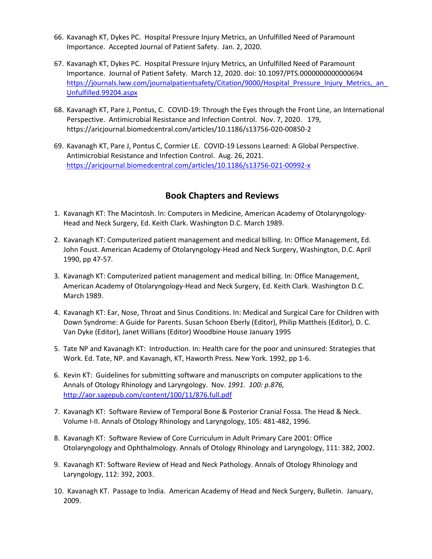- 66. Kavanagh KT, Dykes PC. Hospital Pressure Injury Metrics, an Unfulfilled Need of Paramount Importance. Accepted Journal of Patient Safety. Jan. 2, 2020.
- 67. Kavanagh KT, Dykes PC. Hospital Pressure Injury Metrics, an Unfulfilled Need of Paramount Importance. Journal of Patient Safety. March 12, 2020. doi: 10.1097/PTS.0000000000000694 https://journals.lww.com/journalpatientsafety/Citation/9000/Hospital\_Pressure\_Injury\_Metrics,\_an [Unfulfilled.99204.aspx](https://journals.lww.com/journalpatientsafety/Citation/9000/Hospital_Pressure_Injury_Metrics,_an_Unfulfilled.99204.aspx)
- 68. Kavanagh KT, Pare J, Pontus, C. COVID-19: Through the Eyes through the Front Line, an International Perspective. Antimicrobial Resistance and Infection Control. Nov. 7, 2020. 179, https://aricjournal.biomedcentral.com/articles/10.1186/s13756-020-00850-2
- 69. Kavanagh KT, Pare J, Pontus C, Cormier LE. COVID-19 Lessons Learned: A Global Perspective. Antimicrobial Resistance and Infection Control. Aug. 26, 2021. <https://aricjournal.biomedcentral.com/articles/10.1186/s13756-021-00992-x>

## **Book Chapters and Reviews**

- 1. Kavanagh KT: The Macintosh. In: Computers in Medicine, American Academy of Otolaryngology-Head and Neck Surgery, Ed. Keith Clark. Washington D.C. March 1989.
- 2. Kavanagh KT: Computerized patient management and medical billing. In: Office Management, Ed. John Foust. American Academy of Otolaryngology-Head and Neck Surgery, Washington, D.C. April 1990, pp 47-57.
- 3. Kavanagh KT: Computerized patient management and medical billing. In: Office Management, American Academy of Otolaryngology-Head and Neck Surgery, Ed. Keith Clark. Washington D.C. March 1989.
- 4. Kavanagh KT: Ear, Nose, Throat and Sinus Conditions. In: Medical and Surgical Care for Children with Down Syndrome: A Guide for Parents. Susan Schoon Eberly (Editor), Philip Mattheis (Editor), D. C. Van Dyke (Editor), Janet Willians (Editor) Woodbine House January 1995
- 5. Tate NP and Kavanagh KT: Introduction. In: Health care for the poor and uninsured: Strategies that Work. Ed. Tate, NP. and Kavanagh, KT, Haworth Press. New York. 1992, pp 1-6.
- 6. Kevin KT: Guidelines for submitting software and manuscripts on computer applications to the Annals of Otology Rhinology and Laryngology. Nov. *1991. 100: p.876,*  <http://aor.sagepub.com/content/100/11/876.full.pdf>
- 7. Kavanagh KT: Software Review of Temporal Bone & Posterior Cranial Fossa. The Head & Neck. Volume I-II. Annals of Otology Rhinology and Laryngology, 105: 481-482, 1996.
- 8. Kavanagh KT: Software Review of Core Curriculum in Adult Primary Care 2001: Office Otolaryngology and Ophthalmology. Annals of Otology Rhinology and Laryngology, 111: 382, 2002.
- 9. Kavanagh KT: Software Review of Head and Neck Pathology. Annals of Otology Rhinology and Laryngology, 112: 392, 2003.
- 10. Kavanagh KT. Passage to India. American Academy of Head and Neck Surgery, Bulletin. January, 2009.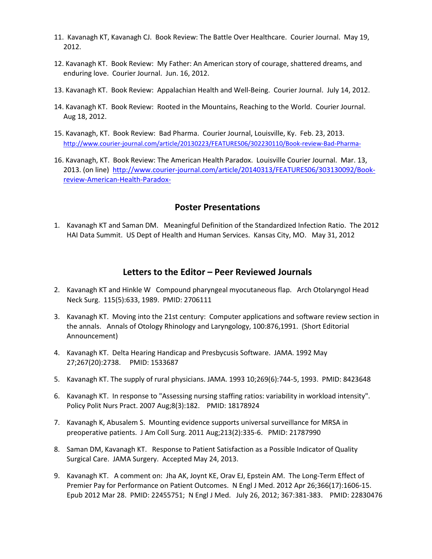- 11. Kavanagh KT, Kavanagh CJ. Book Review: The Battle Over Healthcare. Courier Journal. May 19, 2012.
- 12. Kavanagh KT. Book Review: My Father: An American story of courage, shattered dreams, and enduring love. Courier Journal. Jun. 16, 2012.
- 13. Kavanagh KT. Book Review: Appalachian Health and Well-Being. Courier Journal. July 14, 2012.
- 14. Kavanagh KT. Book Review: Rooted in the Mountains, Reaching to the World. Courier Journal. Aug 18, 2012.
- 15. Kavanagh, KT. Book Review: Bad Pharma. Courier Journal, Louisville, Ky. Feb. 23, 2013. <http://www.courier-journal.com/article/20130223/FEATURES06/302230110/Book-review-Bad-Pharma->
- 16. Kavanagh, KT. Book Review: The American Health Paradox. Louisville Courier Journal. Mar. 13, 2013. (on line) [http://www.courier-journal.com/article/20140313/FEATURES06/303130092/Book](http://www.courier-journal.com/article/20140313/FEATURES06/303130092/Book-review-American-Health-Paradox-)[review-American-Health-Paradox-](http://www.courier-journal.com/article/20140313/FEATURES06/303130092/Book-review-American-Health-Paradox-)

#### **Poster Presentations**

1. Kavanagh KT and Saman DM. Meaningful Definition of the Standardized Infection Ratio. The 2012 HAI Data Summit. US Dept of Health and Human Services. Kansas City, MO. May 31, 2012

#### **Letters to the Editor – Peer Reviewed Journals**

- 2. Kavanagh KT and Hinkle W Compound pharyngeal myocutaneous flap. Arch Otolaryngol Head Neck Surg. 115(5):633, 1989. PMID: 2706111
- 3. Kavanagh KT. Moving into the 21st century: Computer applications and software review section in the annals. Annals of Otology Rhinology and Laryngology, 100:876,1991. (Short Editorial Announcement)
- 4. Kavanagh KT. Delta Hearing Handicap and Presbycusis Software. JAMA. 1992 May 27;267(20):2738. PMID: 1533687
- 5. Kavanagh KT. The supply of rural physicians. JAMA. 1993 10;269(6):744-5, 1993. PMID: 8423648
- 6. Kavanagh KT. In response to "Assessing nursing staffing ratios: variability in workload intensity". Policy Polit Nurs Pract. 2007 Aug;8(3):182. PMID: 18178924
- 7. Kavanagh K, Abusalem S. Mounting evidence supports universal surveillance for MRSA in preoperative patients. J Am Coll Surg. 2011 Aug;213(2):335-6. PMID: 21787990
- 8. Saman DM, Kavanagh KT. Response to Patient Satisfaction as a Possible Indicator of Quality Surgical Care. JAMA Surgery. Accepted May 24, 2013.
- 9. Kavanagh KT. A comment on: Jha AK, Joynt KE, Orav EJ, Epstein AM. The Long-Term Effect of Premier Pay for Performance on Patient Outcomes. N Engl J Med. 2012 Apr 26;366(17):1606-15. Epub 2012 Mar 28. PMID: 22455751; N Engl J Med. July 26, 2012; 367:381-383. PMID: 22830476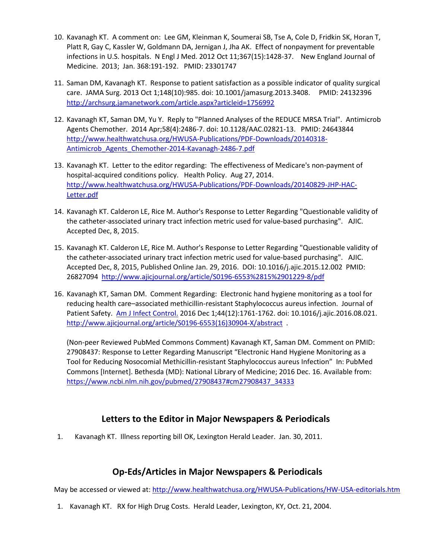- 10. Kavanagh KT. A comment on: Lee GM, Kleinman K, Soumerai SB, Tse A, Cole D, Fridkin SK, Horan T, Platt R, Gay C, Kassler W, Goldmann DA, Jernigan J, Jha AK. Effect of nonpayment for preventable infections in U.S. hospitals. N Engl J Med. 2012 Oct 11;367(15):1428-37. New England Journal of Medicine. 2013; Jan. 368:191-192. PMID: 23301747
- 11. Saman DM, Kavanagh KT. Response to patient satisfaction as a possible indicator of quality surgical care. JAMA Surg. 2013 Oct 1;148(10):985. doi: 10.1001/jamasurg.2013.3408. PMID: 24132396 <http://archsurg.jamanetwork.com/article.aspx?articleid=1756992>
- 12. Kavanagh KT, Saman DM, Yu Y. Reply to "Planned Analyses of the REDUCE MRSA Trial". Antimicrob Agents Chemother. 2014 Apr;58(4):2486-7. doi: 10.1128/AAC.02821-13. PMID: 24643844 [http://www.healthwatchusa.org/HWUSA-Publications/PDF-Downloads/20140318-](http://www.healthwatchusa.org/HWUSA-Publications/PDF-Downloads/20140318-Antimicrob_Agents_Chemother-2014-Kavanagh-2486-7.pdf) Antimicrob Agents Chemother-2014-Kavanagh-2486-7.pdf
- 13. Kavanagh KT. Letter to the editor regarding: The effectiveness of Medicare's non-payment of hospital-acquired conditions policy. Health Policy. Aug 27, 2014. [http://www.healthwatchusa.org/HWUSA-Publications/PDF-Downloads/20140829-JHP-HAC-](http://www.healthwatchusa.org/HWUSA-Publications/PDF-Downloads/20140829-JHP-HAC-Letter.pdf)[Letter.pdf](http://www.healthwatchusa.org/HWUSA-Publications/PDF-Downloads/20140829-JHP-HAC-Letter.pdf)
- 14. Kavanagh KT. Calderon LE, Rice M. Author's Response to Letter Regarding "Questionable validity of the catheter-associated urinary tract infection metric used for value-based purchasing". AJIC. Accepted Dec, 8, 2015.
- 15. Kavanagh KT. Calderon LE, Rice M. Author's Response to Letter Regarding "Questionable validity of the catheter-associated urinary tract infection metric used for value-based purchasing". AJIC. Accepted Dec, 8, 2015, Published Online Jan. 29, 2016. DOI: 10.1016/j.ajic.2015.12.002 PMID: 26827094 <http://www.ajicjournal.org/article/S0196-6553%2815%2901229-8/pdf>
- 16. Kavanagh KT, Saman DM. Comment Regarding: Electronic hand hygiene monitoring as a tool for reducing health care–associated methicillin-resistant Staphylococcus aureus infection. Journal of Patient Safety. [Am J Infect Control.](https://www.ncbi.nlm.nih.gov/pubmed/27908436) 2016 Dec 1;44(12):1761-1762. doi: 10.1016/j.ajic.2016.08.021. [http://www.ajicjournal.org/article/S0196-6553\(16\)30904-X/abstract](http://www.ajicjournal.org/article/S0196-6553(16)30904-X/abstract) .

(Non-peer Reviewed PubMed Commons Comment) Kavanagh KT, Saman DM. Comment on PMID: 27908437: Response to Letter Regarding Manuscript "Electronic Hand Hygiene Monitoring as a Tool for Reducing Nosocomial Methicillin-resistant Staphylococcus aureus Infection" In: PubMed Commons [Internet]. Bethesda (MD): National Library of Medicine; 2016 Dec. 16. Available from: [https://www.ncbi.nlm.nih.gov/pubmed/27908437#cm27908437\\_34333](https://www.ncbi.nlm.nih.gov/pubmed/27908437#cm27908437_34333)

## **Letters to the Editor in Major Newspapers & Periodicals**

1. Kavanagh KT. Illness reporting bill OK, Lexington Herald Leader. Jan. 30, 2011.

## **Op-Eds/Articles in Major Newspapers & Periodicals**

May be accessed or viewed at:<http://www.healthwatchusa.org/HWUSA-Publications/HW-USA-editorials.htm>

1. Kavanagh KT. RX for High Drug Costs. Herald Leader, Lexington, KY, Oct. 21, 2004.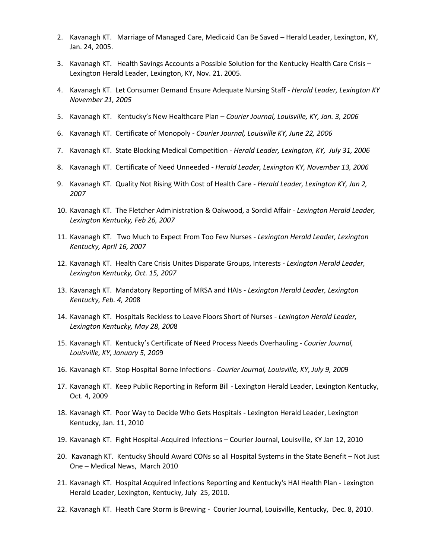- 2. Kavanagh KT. Marriage of Managed Care, Medicaid Can Be Saved Herald Leader, Lexington, KY, Jan. 24, 2005.
- 3. Kavanagh KT. Health Savings Accounts a Possible Solution for the Kentucky Health Care Crisis Lexington Herald Leader, Lexington, KY, Nov. 21. 2005.
- 4. Kavanagh KT. Let Consumer Demand Ensure Adequate Nursing Staff *- Herald Leader, Lexington KY November 21, 2005*
- 5. Kavanagh KT. Kentucky's New Healthcare Plan *Courier Journal, Louisville, KY, Jan. 3, 2006*
- 6. Kavanagh KT. Certificate of Monopoly *- Courier Journal, Louisville KY, June 22, 2006*
- 7. Kavanagh KT. State Blocking Medical Competition *Herald Leader, Lexington, KY, July 31, 2006*
- 8. Kavanagh KT. Certificate of Need Unneeded *- Herald Leader, Lexington KY, November 13, 2006*
- 9. Kavanagh KT. Quality Not Rising With Cost of Health Care *- Herald Leader, Lexington KY, Jan 2, 2007*
- 10. Kavanagh KT. The Fletcher Administration & Oakwood, a Sordid Affair *- Lexington Herald Leader, Lexington Kentucky, Feb 26, 2007*
- 11. Kavanagh KT. Two Much to Expect From Too Few Nurses *Lexington Herald Leader, Lexington Kentucky, April 16, 2007*
- 12. Kavanagh KT. Health Care Crisis Unites Disparate Groups, Interests *Lexington Herald Leader, Lexington Kentucky, Oct. 15, 2007*
- 13. Kavanagh KT. Mandatory Reporting of MRSA and HAIs *Lexington Herald Leader, Lexington Kentucky, Feb. 4, 200*8
- 14. Kavanagh KT. Hospitals Reckless to Leave Floors Short of Nurses *Lexington Herald Leader, Lexington Kentucky, May 28, 200*8
- 15. Kavanagh KT. Kentucky's Certificate of Need Process Needs Overhauling *Courier Journal, Louisville, KY, January 5, 200*9
- 16. Kavanagh KT. Stop Hospital Borne Infections *Courier Journal, Louisville, KY, July 9, 200*9
- 17. Kavanagh KT. Keep Public Reporting in Reform Bill Lexington Herald Leader, Lexington Kentucky, Oct. 4, 2009
- 18. Kavanagh KT. Poor Way to Decide Who Gets Hospitals Lexington Herald Leader, Lexington Kentucky, Jan. 11, 2010
- 19. Kavanagh KT. Fight Hospital-Acquired Infections Courier Journal, Louisville, KY Jan 12, 2010
- 20. Kavanagh KT. Kentucky Should Award CONs so all Hospital Systems in the State Benefit Not Just One – Medical News, March 2010
- 21. Kavanagh KT. Hospital Acquired Infections Reporting and Kentucky's HAI Health Plan Lexington Herald Leader, Lexington, Kentucky, July 25, 2010.
- 22. Kavanagh KT. Heath Care Storm is Brewing Courier Journal, Louisville, Kentucky, Dec. 8, 2010.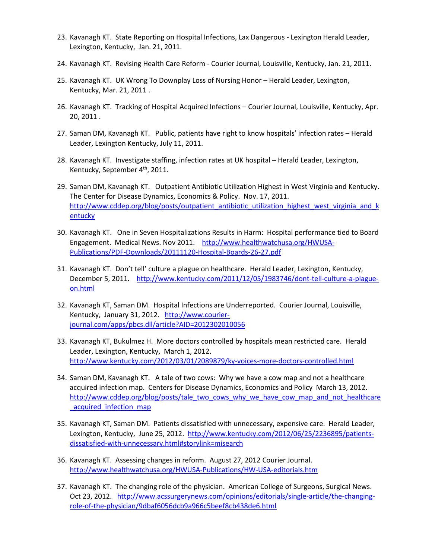- 23. Kavanagh KT. State Reporting on Hospital Infections, Lax Dangerous Lexington Herald Leader, Lexington, Kentucky, Jan. 21, 2011.
- 24. Kavanagh KT. Revising Health Care Reform Courier Journal, Louisville, Kentucky, Jan. 21, 2011.
- 25. Kavanagh KT. UK Wrong To Downplay Loss of Nursing Honor Herald Leader, Lexington, Kentucky, Mar. 21, 2011 .
- 26. Kavanagh KT. Tracking of Hospital Acquired Infections Courier Journal, Louisville, Kentucky, Apr. 20, 2011 .
- 27. Saman DM, Kavanagh KT. Public, patients have right to know hospitals' infection rates Herald Leader, Lexington Kentucky, July 11, 2011.
- 28. Kavanagh KT. Investigate staffing, infection rates at UK hospital Herald Leader, Lexington, Kentucky, September 4<sup>th</sup>, 2011.
- 29. Saman DM, Kavanagh KT. Outpatient Antibiotic Utilization Highest in West Virginia and Kentucky. The Center for Disease Dynamics, Economics & Policy. Nov. 17, 2011. [http://www.cddep.org/blog/posts/outpatient\\_antibiotic\\_utilization\\_highest\\_west\\_virginia\\_and\\_k](http://www.cddep.org/blog/posts/outpatient_antibiotic_utilization_highest_west_virginia_and_kentucky) [entucky](http://www.cddep.org/blog/posts/outpatient_antibiotic_utilization_highest_west_virginia_and_kentucky)
- 30. Kavanagh KT. One in Seven Hospitalizations Results in Harm: Hospital performance tied to Board Engagement. Medical News. Nov 2011. [http://www.healthwatchusa.org/HWUSA-](http://www.healthwatchusa.org/HWUSA-Publications/PDF-Downloads/20111120-Hospital-Boards-26-27.pdf)[Publications/PDF-Downloads/20111120-Hospital-Boards-26-27.pdf](http://www.healthwatchusa.org/HWUSA-Publications/PDF-Downloads/20111120-Hospital-Boards-26-27.pdf)
- 31. Kavanagh KT. Don't tell' culture a plague on healthcare. Herald Leader, Lexington, Kentucky, December 5, 2011. [http://www.kentucky.com/2011/12/05/1983746/dont-tell-culture-a-plague](http://www.kentucky.com/2011/12/05/1983746/dont-tell-culture-a-plague-on.html)[on.html](http://www.kentucky.com/2011/12/05/1983746/dont-tell-culture-a-plague-on.html)
- 32. Kavanagh KT, Saman DM. Hospital Infections are Underreported. Courier Journal, Louisville, Kentucky, January 31, 2012. [http://www.courier](http://www.courier-journal.com/apps/pbcs.dll/article?AID=2012302010056)[journal.com/apps/pbcs.dll/article?AID=2012302010056](http://www.courier-journal.com/apps/pbcs.dll/article?AID=2012302010056)
- 33. Kavanagh KT, Bukulmez H. More doctors controlled by hospitals mean restricted care. Herald Leader, Lexington, Kentucky, March 1, 2012. <http://www.kentucky.com/2012/03/01/2089879/ky-voices-more-doctors-controlled.html>
- 34. Saman DM, Kavanagh KT. A tale of two cows: Why we have a cow map and not a healthcare acquired infection map. Centers for Disease Dynamics, Economics and Policy March 13, 2012. [http://www.cddep.org/blog/posts/tale\\_two\\_cows\\_why\\_we\\_have\\_cow\\_map\\_and\\_not\\_healthcare](http://www.cddep.org/blog/posts/tale_two_cows_why_we_have_cow_map_and_not_healthcare_acquired_infection_map) \_acquired\_infection\_map
- 35. Kavanagh KT, Saman DM. Patients dissatisfied with unnecessary, expensive care. Herald Leader, Lexington, Kentucky, June 25, 2012. [http://www.kentucky.com/2012/06/25/2236895/patients](http://www.kentucky.com/2012/06/25/2236895/patients-dissatisfied-with-unnecessary.html#storylink=misearch)[dissatisfied-with-unnecessary.html#storylink=misearch](http://www.kentucky.com/2012/06/25/2236895/patients-dissatisfied-with-unnecessary.html#storylink=misearch)
- 36. Kavanagh KT. Assessing changes in reform. August 27, 2012 Courier Journal. <http://www.healthwatchusa.org/HWUSA-Publications/HW-USA-editorials.htm>
- 37. Kavanagh KT. The changing role of the physician. American College of Surgeons, Surgical News. Oct 23, 2012. [http://www.acssurgerynews.com/opinions/editorials/single-article/the-changing](http://www.acssurgerynews.com/opinions/editorials/single-article/the-changing-role-of-the-physician/9dbaf6056dcb9a966c5beef8cb438de6.html)[role-of-the-physician/9dbaf6056dcb9a966c5beef8cb438de6.html](http://www.acssurgerynews.com/opinions/editorials/single-article/the-changing-role-of-the-physician/9dbaf6056dcb9a966c5beef8cb438de6.html)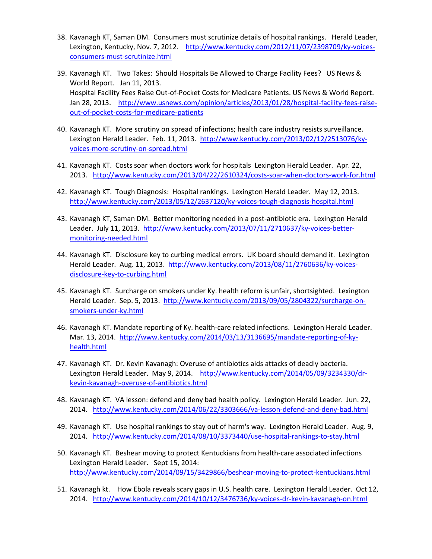- 38. Kavanagh KT, Saman DM. Consumers must scrutinize details of hospital rankings. Herald Leader, Lexington, Kentucky, Nov. 7, 2012. [http://www.kentucky.com/2012/11/07/2398709/ky-voices](http://www.kentucky.com/2012/11/07/2398709/ky-voices-consumers-must-scrutinize.html)[consumers-must-scrutinize.html](http://www.kentucky.com/2012/11/07/2398709/ky-voices-consumers-must-scrutinize.html)
- 39. Kavanagh KT. Two Takes: Should Hospitals Be Allowed to Charge Facility Fees? US News & World Report. Jan 11, 2013. Hospital Facility Fees Raise Out-of-Pocket Costs for Medicare Patients. US News & World Report. Jan 28, 2013. [http://www.usnews.com/opinion/articles/2013/01/28/hospital-facility-fees-raise](http://www.usnews.com/opinion/articles/2013/01/28/hospital-facility-fees-raise-out-of-pocket-costs-for-medicare-patients)[out-of-pocket-costs-for-medicare-patients](http://www.usnews.com/opinion/articles/2013/01/28/hospital-facility-fees-raise-out-of-pocket-costs-for-medicare-patients)
- 40. Kavanagh KT. More scrutiny on spread of infections; health care industry resists surveillance. Lexington Herald Leader. Feb. 11, 2013. [http://www.kentucky.com/2013/02/12/2513076/ky](http://www.kentucky.com/2013/02/12/2513076/ky-voices-more-scrutiny-on-spread.html)[voices-more-scrutiny-on-spread.html](http://www.kentucky.com/2013/02/12/2513076/ky-voices-more-scrutiny-on-spread.html)
- 41. Kavanagh KT. Costs soar when doctors work for hospitals Lexington Herald Leader. Apr. 22, 2013. <http://www.kentucky.com/2013/04/22/2610324/costs-soar-when-doctors-work-for.html>
- 42. Kavanagh KT. Tough Diagnosis: Hospital rankings. Lexington Herald Leader. May 12, 2013. <http://www.kentucky.com/2013/05/12/2637120/ky-voices-tough-diagnosis-hospital.html>
- 43. Kavanagh KT, Saman DM. Better monitoring needed in a post-antibiotic era. Lexington Herald Leader. July 11, 2013. [http://www.kentucky.com/2013/07/11/2710637/ky-voices-better](http://www.kentucky.com/2013/07/11/2710637/ky-voices-better-monitoring-needed.html)[monitoring-needed.html](http://www.kentucky.com/2013/07/11/2710637/ky-voices-better-monitoring-needed.html)
- 44. Kavanagh KT. Disclosure key to curbing medical errors. UK board should demand it. Lexington Herald Leader. Aug. 11, 2013. [http://www.kentucky.com/2013/08/11/2760636/ky-voices](http://www.kentucky.com/2013/08/11/2760636/ky-voices-disclosure-key-to-curbing.html)[disclosure-key-to-curbing.html](http://www.kentucky.com/2013/08/11/2760636/ky-voices-disclosure-key-to-curbing.html)
- 45. Kavanagh KT. Surcharge on smokers under Ky. health reform is unfair, shortsighted. Lexington Herald Leader. Sep. 5, 2013. [http://www.kentucky.com/2013/09/05/2804322/surcharge-on](http://www.kentucky.com/2013/09/05/2804322/surcharge-on-smokers-under-ky.html)[smokers-under-ky.html](http://www.kentucky.com/2013/09/05/2804322/surcharge-on-smokers-under-ky.html)
- 46. Kavanagh KT. Mandate reporting of Ky. health-care related infections. Lexington Herald Leader. Mar. 13, 2014. [http://www.kentucky.com/2014/03/13/3136695/mandate-reporting-of-ky](http://www.kentucky.com/2014/03/13/3136695/mandate-reporting-of-ky-health.html)[health.html](http://www.kentucky.com/2014/03/13/3136695/mandate-reporting-of-ky-health.html)
- 47. Kavanagh KT. Dr. Kevin Kavanagh: Overuse of antibiotics aids attacks of deadly bacteria. Lexington Herald Leader. May 9, 2014. [http://www.kentucky.com/2014/05/09/3234330/dr](http://www.kentucky.com/2014/05/09/3234330/dr-kevin-kavanagh-overuse-of-antibiotics.html)[kevin-kavanagh-overuse-of-antibiotics.html](http://www.kentucky.com/2014/05/09/3234330/dr-kevin-kavanagh-overuse-of-antibiotics.html)
- 48. Kavanagh KT. VA lesson: defend and deny bad health policy. Lexington Herald Leader. Jun. 22, 2014. <http://www.kentucky.com/2014/06/22/3303666/va-lesson-defend-and-deny-bad.html>
- 49. Kavanagh KT. Use hospital rankings to stay out of harm's way. Lexington Herald Leader. Aug. 9, 2014. <http://www.kentucky.com/2014/08/10/3373440/use-hospital-rankings-to-stay.html>
- 50. Kavanagh KT. Beshear moving to protect Kentuckians from health-care associated infections Lexington Herald Leader. Sept 15, 2014: <http://www.kentucky.com/2014/09/15/3429866/beshear-moving-to-protect-kentuckians.html>
- 51. Kavanagh kt. How Ebola reveals scary gaps in U.S. health care. Lexington Herald Leader. Oct 12, 2014. <http://www.kentucky.com/2014/10/12/3476736/ky-voices-dr-kevin-kavanagh-on.html>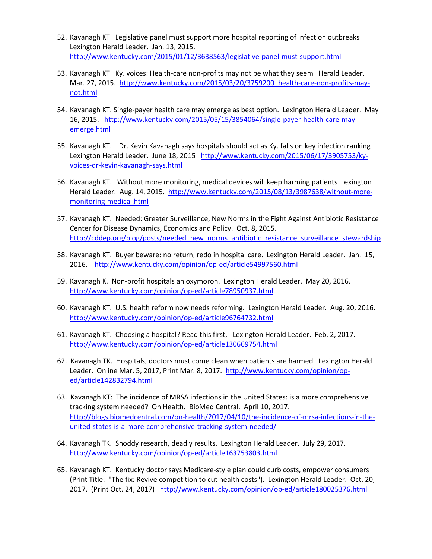- 52. Kavanagh KT Legislative panel must support more hospital reporting of infection outbreaks Lexington Herald Leader. Jan. 13, 2015. <http://www.kentucky.com/2015/01/12/3638563/legislative-panel-must-support.html>
- 53. Kavanagh KT Ky. voices: Health-care non-profits may not be what they seem Herald Leader. Mar. 27, 2015. [http://www.kentucky.com/2015/03/20/3759200\\_health-care-non-profits-may](http://www.kentucky.com/2015/03/20/3759200_health-care-non-profits-may-not.html)[not.html](http://www.kentucky.com/2015/03/20/3759200_health-care-non-profits-may-not.html)
- 54. Kavanagh KT. Single-payer health care may emerge as best option. Lexington Herald Leader. May 16, 2015. [http://www.kentucky.com/2015/05/15/3854064/single-payer-health-care-may](http://www.kentucky.com/2015/05/15/3854064/single-payer-health-care-may-emerge.html)[emerge.html](http://www.kentucky.com/2015/05/15/3854064/single-payer-health-care-may-emerge.html)
- 55. Kavanagh KT. Dr. Kevin Kavanagh says hospitals should act as Ky. falls on key infection ranking Lexington Herald Leader. June 18, 2015 [http://www.kentucky.com/2015/06/17/3905753/ky](http://www.kentucky.com/2015/06/17/3905753/ky-voices-dr-kevin-kavanagh-says.html)[voices-dr-kevin-kavanagh-says.html](http://www.kentucky.com/2015/06/17/3905753/ky-voices-dr-kevin-kavanagh-says.html)
- 56. Kavanagh KT. Without more monitoring, medical devices will keep harming patients Lexington Herald Leader. Aug. 14, 2015. [http://www.kentucky.com/2015/08/13/3987638/without-more](http://www.kentucky.com/2015/08/13/3987638/without-more-monitoring-medical.html)[monitoring-medical.html](http://www.kentucky.com/2015/08/13/3987638/without-more-monitoring-medical.html)
- 57. Kavanagh KT. Needed: Greater Surveillance, New Norms in the Fight Against Antibiotic Resistance Center for Disease Dynamics, Economics and Policy. Oct. 8, 2015. http://cddep.org/blog/posts/needed\_new\_norms\_antibiotic\_resistance\_surveillance\_stewardship
- 58. Kavanagh KT. Buyer beware: no return, redo in hospital care. Lexington Herald Leader. Jan. 15, 2016. <http://www.kentucky.com/opinion/op-ed/article54997560.html>
- 59. Kavanagh K. Non-profit hospitals an oxymoron. Lexington Herald Leader. May 20, 2016. <http://www.kentucky.com/opinion/op-ed/article78950937.html>
- 60. Kavanagh KT. U.S. health reform now needs reforming. Lexington Herald Leader. Aug. 20, 2016. <http://www.kentucky.com/opinion/op-ed/article96764732.html>
- 61. Kavanagh KT. Choosing a hospital? Read this first, Lexington Herald Leader. Feb. 2, 2017. <http://www.kentucky.com/opinion/op-ed/article130669754.html>
- 62. Kavanagh TK. Hospitals, doctors must come clean when patients are harmed. Lexington Herald Leader. Online Mar. 5, 2017, Print Mar. 8, 2017. [http://www.kentucky.com/opinion/op](http://www.kentucky.com/opinion/op-ed/article142832794.html)[ed/article142832794.html](http://www.kentucky.com/opinion/op-ed/article142832794.html)
- 63. Kavanagh KT: The incidence of MRSA infections in the United States: is a more comprehensive tracking system needed? On Health. BioMed Central. April 10, 2017. [http://blogs.biomedcentral.com/on-health/2017/04/10/the-incidence-of-mrsa-infections-in-the](http://blogs.biomedcentral.com/on-health/2017/04/10/the-incidence-of-mrsa-infections-in-the-united-states-is-a-more-comprehensive-tracking-system-needed/)[united-states-is-a-more-comprehensive-tracking-system-needed/](http://blogs.biomedcentral.com/on-health/2017/04/10/the-incidence-of-mrsa-infections-in-the-united-states-is-a-more-comprehensive-tracking-system-needed/)
- 64. Kavanagh TK. Shoddy research, deadly results. Lexington Herald Leader. July 29, 2017. <http://www.kentucky.com/opinion/op-ed/article163753803.html>
- 65. Kavanagh KT. Kentucky doctor says Medicare-style plan could curb costs, empower consumers (Print Title: "The fix: Revive competition to cut health costs"). Lexington Herald Leader. Oct. 20, 2017. (Print Oct. 24, 2017) <http://www.kentucky.com/opinion/op-ed/article180025376.html>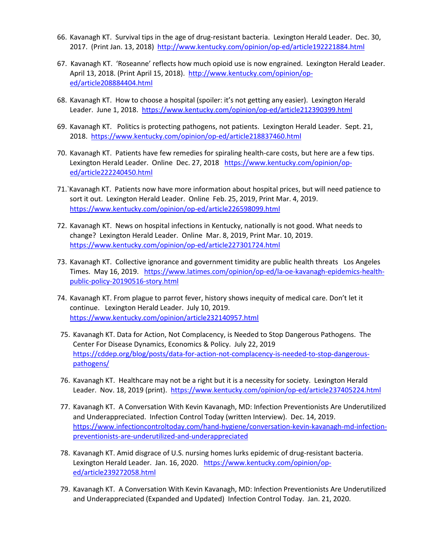- 66. Kavanagh KT. Survival tips in the age of drug-resistant bacteria. Lexington Herald Leader. Dec. 30, 2017. (Print Jan. 13, 2018) <http://www.kentucky.com/opinion/op-ed/article192221884.html>
- 67. Kavanagh KT. 'Roseanne' reflects how much opioid use is now engrained. Lexington Herald Leader. April 13, 2018. (Print April 15, 2018). [http://www.kentucky.com/opinion/op](http://www.kentucky.com/opinion/op-ed/article208884404.html)[ed/article208884404.html](http://www.kentucky.com/opinion/op-ed/article208884404.html)
- 68. Kavanagh KT. How to choose a hospital (spoiler: it's not getting any easier). Lexington Herald Leader. June 1, 2018. <https://www.kentucky.com/opinion/op-ed/article212390399.html>
- 69. Kavanagh KT. Politics is protecting pathogens, not patients. Lexington Herald Leader. Sept. 21, 2018. <https://www.kentucky.com/opinion/op-ed/article218837460.html>
- 70. Kavanagh KT. Patients have few remedies for spiraling health-care costs, but here are a few tips. Lexington Herald Leader. Online Dec. 27, 2018 [https://www.kentucky.com/opinion/op](https://www.kentucky.com/opinion/op-ed/article222240450.html)[ed/article222240450.html](https://www.kentucky.com/opinion/op-ed/article222240450.html)
- 71.`Kavanagh KT. Patients now have more information about hospital prices, but will need patience to sort it out. Lexington Herald Leader. Online Feb. 25, 2019, Print Mar. 4, 2019. <https://www.kentucky.com/opinion/op-ed/article226598099.html>
- 72. Kavanagh KT. News on hospital infections in Kentucky, nationally is not good. What needs to change? Lexington Herald Leader. Online Mar. 8, 2019, Print Mar. 10, 2019. <https://www.kentucky.com/opinion/op-ed/article227301724.html>
- 73. Kavanagh KT. Collective ignorance and government timidity are public health threats Los Angeles Times. May 16, 2019. [https://www.latimes.com/opinion/op-ed/la-oe-kavanagh-epidemics-health](https://www.latimes.com/opinion/op-ed/la-oe-kavanagh-epidemics-health-public-policy-20190516-story.html)[public-policy-20190516-story.html](https://www.latimes.com/opinion/op-ed/la-oe-kavanagh-epidemics-health-public-policy-20190516-story.html)
- 74. Kavanagh KT. From plague to parrot fever, history shows inequity of medical care. Don't let it continue. Lexington Herald Leader. July 10, 2019. <https://www.kentucky.com/opinion/article232140957.html>
- 75. Kavanagh KT. Data for Action, Not Complacency, is Needed to Stop Dangerous Pathogens. The Center For Disease Dynamics, Economics & Policy. July 22, 2019 [https://cddep.org/blog/posts/data-for-action-not-complacency-is-needed-to-stop-dangerous](https://cddep.org/blog/posts/data-for-action-not-complacency-is-needed-to-stop-dangerous-pathogens/)[pathogens/](https://cddep.org/blog/posts/data-for-action-not-complacency-is-needed-to-stop-dangerous-pathogens/)
- 76. Kavanagh KT. Healthcare may not be a right but it is a necessity for society. Lexington Herald Leader. Nov. 18, 2019 (print). https://www.kentucky.com/opinion/op-ed/article237405224.html
- 77. Kavanagh KT. A Conversation With Kevin Kavanagh, MD: Infection Preventionists Are Underutilized and Underappreciated. Infection Control Today (written Interview). Dec. 14, 2019. [https://www.infectioncontroltoday.com/hand-hygiene/conversation-kevin-kavanagh-md-infection](https://www.infectioncontroltoday.com/hand-hygiene/conversation-kevin-kavanagh-md-infection-preventionists-are-underutilized-and-underappreciated)[preventionists-are-underutilized-and-underappreciated](https://www.infectioncontroltoday.com/hand-hygiene/conversation-kevin-kavanagh-md-infection-preventionists-are-underutilized-and-underappreciated)
- 78. Kavanagh KT. Amid disgrace of U.S. nursing homes lurks epidemic of drug-resistant bacteria. Lexington Herald Leader. Jan. 16, 2020. [https://www.kentucky.com/opinion/op](https://www.kentucky.com/opinion/op-ed/article239272058.html)[ed/article239272058.html](https://www.kentucky.com/opinion/op-ed/article239272058.html)
- 79. Kavanagh KT. A Conversation With Kevin Kavanagh, MD: Infection Preventionists Are Underutilized and Underappreciated (Expanded and Updated) Infection Control Today. Jan. 21, 2020.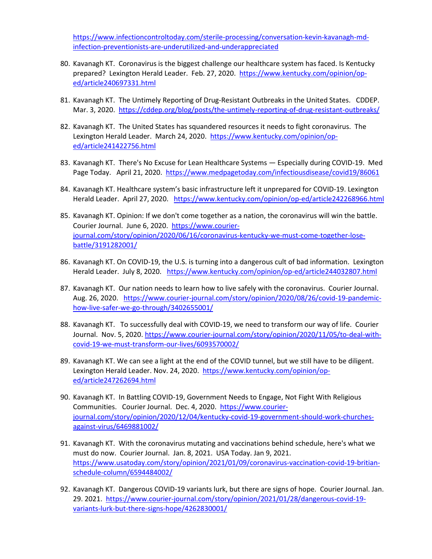[https://www.infectioncontroltoday.com/sterile-processing/conversation-kevin-kavanagh-md](https://www.infectioncontroltoday.com/sterile-processing/conversation-kevin-kavanagh-md-infection-preventionists-are-underutilized-and-underappreciated)[infection-preventionists-are-underutilized-and-underappreciated](https://www.infectioncontroltoday.com/sterile-processing/conversation-kevin-kavanagh-md-infection-preventionists-are-underutilized-and-underappreciated) 

- 80. Kavanagh KT. Coronavirus is the biggest challenge our healthcare system has faced. Is Kentucky prepared? Lexington Herald Leader. Feb. 27, 2020. [https://www.kentucky.com/opinion/op](https://www.kentucky.com/opinion/op-ed/article240697331.html)[ed/article240697331.html](https://www.kentucky.com/opinion/op-ed/article240697331.html)
- 81. Kavanagh KT. The Untimely Reporting of Drug-Resistant Outbreaks in the United States. CDDEP. Mar. 3, 2020. <https://cddep.org/blog/posts/the-untimely-reporting-of-drug-resistant-outbreaks/>
- 82. Kavanagh KT. The United States has squandered resources it needs to fight coronavirus. The Lexington Herald Leader. March 24, 2020. [https://www.kentucky.com/opinion/op](https://www.kentucky.com/opinion/op-ed/article241422756.html)[ed/article241422756.html](https://www.kentucky.com/opinion/op-ed/article241422756.html)
- 83. Kavanagh KT. There's No Excuse for Lean Healthcare Systems Especially during COVID-19. Med Page Today. April 21, 2020. https://www.medpagetoday.com/infectiousdisease/covid19/86061
- 84. Kavanagh KT. Healthcare system's basic infrastructure left it unprepared for COVID-19. Lexington Herald Leader. April 27, 2020. https://www.kentucky.com/opinion/op-ed/article242268966.html
- 85. Kavanagh KT. Opinion: If we don't come together as a nation, the coronavirus will win the battle. Courier Journal. June 6, 2020. [https://www.courier](https://www.courier-journal.com/story/opinion/2020/06/16/coronavirus-kentucky-we-must-come-together-lose-battle/3191282001/)[journal.com/story/opinion/2020/06/16/coronavirus-kentucky-we-must-come-together-lose](https://www.courier-journal.com/story/opinion/2020/06/16/coronavirus-kentucky-we-must-come-together-lose-battle/3191282001/)[battle/3191282001/](https://www.courier-journal.com/story/opinion/2020/06/16/coronavirus-kentucky-we-must-come-together-lose-battle/3191282001/)
- 86. Kavanagh KT. On COVID-19, the U.S. is turning into a dangerous cult of bad information. Lexington Herald Leader. July 8, 2020. <https://www.kentucky.com/opinion/op-ed/article244032807.html>
- 87. Kavanagh KT. Our nation needs to learn how to live safely with the coronavirus. Courier Journal. Aug. 26, 2020. [https://www.courier-journal.com/story/opinion/2020/08/26/covid-19-pandemic](https://www.courier-journal.com/story/opinion/2020/08/26/covid-19-pandemic-how-live-safer-we-go-through/3402655001/)[how-live-safer-we-go-through/3402655001/](https://www.courier-journal.com/story/opinion/2020/08/26/covid-19-pandemic-how-live-safer-we-go-through/3402655001/)
- 88. Kavanagh KT. To successfully deal with COVID-19, we need to transform our way of life. Courier Journal. Nov. 5, 2020. [https://www.courier-journal.com/story/opinion/2020/11/05/to-deal-with](https://www.courier-journal.com/story/opinion/2020/11/05/to-deal-with-covid-19-we-must-transform-our-lives/6093570002/)[covid-19-we-must-transform-our-lives/6093570002/](https://www.courier-journal.com/story/opinion/2020/11/05/to-deal-with-covid-19-we-must-transform-our-lives/6093570002/)
- 89. Kavanagh KT. We can see a light at the end of the COVID tunnel, but we still have to be diligent. Lexington Herald Leader. Nov. 24, 2020. [https://www.kentucky.com/opinion/op](https://www.kentucky.com/opinion/op-ed/article247262694.html)[ed/article247262694.html](https://www.kentucky.com/opinion/op-ed/article247262694.html)
- 90. Kavanagh KT. In Battling COVID-19, Government Needs to Engage, Not Fight With Religious Communities. Courier Journal. Dec. 4, 2020. [https://www.courier](https://www.courier-journal.com/story/opinion/2020/12/04/kentucky-covid-19-government-should-work-churches-against-virus/6469881002/)[journal.com/story/opinion/2020/12/04/kentucky-covid-19-government-should-work-churches](https://www.courier-journal.com/story/opinion/2020/12/04/kentucky-covid-19-government-should-work-churches-against-virus/6469881002/)[against-virus/6469881002/](https://www.courier-journal.com/story/opinion/2020/12/04/kentucky-covid-19-government-should-work-churches-against-virus/6469881002/)
- 91. Kavanagh KT. With the coronavirus mutating and vaccinations behind schedule, here's what we must do now. Courier Journal. Jan. 8, 2021. USA Today. Jan 9, 2021. [https://www.usatoday.com/story/opinion/2021/01/09/coronavirus-vaccination-covid-19-britian](https://www.usatoday.com/story/opinion/2021/01/09/coronavirus-vaccination-covid-19-britian-schedule-column/6594484002/)[schedule-column/6594484002/](https://www.usatoday.com/story/opinion/2021/01/09/coronavirus-vaccination-covid-19-britian-schedule-column/6594484002/)
- 92. Kavanagh KT. Dangerous COVID-19 variants lurk, but there are signs of hope. Courier Journal. Jan. 29. 2021. [https://www.courier-journal.com/story/opinion/2021/01/28/dangerous-covid-19](https://www.courier-journal.com/story/opinion/2021/01/28/dangerous-covid-19-variants-lurk-but-there-signs-hope/4262830001/) [variants-lurk-but-there-signs-hope/4262830001/](https://www.courier-journal.com/story/opinion/2021/01/28/dangerous-covid-19-variants-lurk-but-there-signs-hope/4262830001/)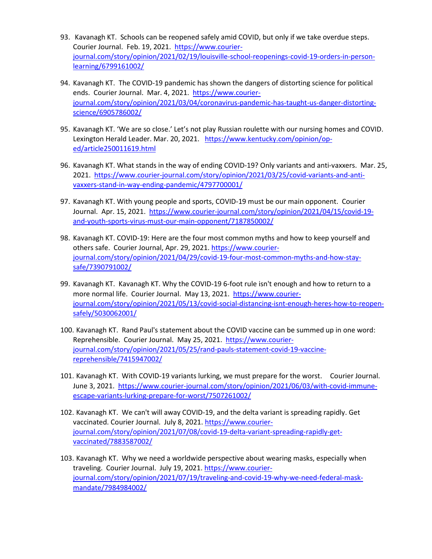- 93. Kavanagh KT. Schools can be reopened safely amid COVID, but only if we take overdue steps. Courier Journal. Feb. 19, 2021. [https://www.courier](https://www.courier-journal.com/story/opinion/2021/02/19/louisville-school-reopenings-covid-19-orders-in-person-learning/6799161002/)[journal.com/story/opinion/2021/02/19/louisville-school-reopenings-covid-19-orders-in-person](https://www.courier-journal.com/story/opinion/2021/02/19/louisville-school-reopenings-covid-19-orders-in-person-learning/6799161002/)[learning/6799161002/](https://www.courier-journal.com/story/opinion/2021/02/19/louisville-school-reopenings-covid-19-orders-in-person-learning/6799161002/)
- 94. Kavanagh KT. The COVID-19 pandemic has shown the dangers of distorting science for political ends. Courier Journal. Mar. 4, 2021. [https://www.courier](https://www.courier-journal.com/story/opinion/2021/03/04/coronavirus-pandemic-has-taught-us-danger-distorting-science/6905786002/)[journal.com/story/opinion/2021/03/04/coronavirus-pandemic-has-taught-us-danger-distorting](https://www.courier-journal.com/story/opinion/2021/03/04/coronavirus-pandemic-has-taught-us-danger-distorting-science/6905786002/)[science/6905786002/](https://www.courier-journal.com/story/opinion/2021/03/04/coronavirus-pandemic-has-taught-us-danger-distorting-science/6905786002/)
- 95. Kavanagh KT. 'We are so close.' Let's not play Russian roulette with our nursing homes and COVID. Lexington Herald Leader. Mar. 20, 2021. [https://www.kentucky.com/opinion/op](https://www.kentucky.com/opinion/op-ed/article250011619.html)[ed/article250011619.html](https://www.kentucky.com/opinion/op-ed/article250011619.html)
- 96. Kavanagh KT. What stands in the way of ending COVID-19? Only variants and anti-vaxxers. Mar. 25, 2021. [https://www.courier-journal.com/story/opinion/2021/03/25/covid-variants-and-anti](https://www.courier-journal.com/story/opinion/2021/03/25/covid-variants-and-anti-vaxxers-stand-in-way-ending-pandemic/4797700001/)[vaxxers-stand-in-way-ending-pandemic/4797700001/](https://www.courier-journal.com/story/opinion/2021/03/25/covid-variants-and-anti-vaxxers-stand-in-way-ending-pandemic/4797700001/)
- 97. Kavanagh KT. With young people and sports, COVID-19 must be our main opponent. Courier Journal. Apr. 15, 2021. [https://www.courier-journal.com/story/opinion/2021/04/15/covid-19](https://www.courier-journal.com/story/opinion/2021/04/15/covid-19-and-youth-sports-virus-must-our-main-opponent/7187850002/) [and-youth-sports-virus-must-our-main-opponent/7187850002/](https://www.courier-journal.com/story/opinion/2021/04/15/covid-19-and-youth-sports-virus-must-our-main-opponent/7187850002/)
- 98. Kavanagh KT. COVID-19: Here are the four most common myths and how to keep yourself and others safe. Courier Journal, Apr. 29, 2021[. https://www.courier](https://www.courier-journal.com/story/opinion/2021/04/29/covid-19-four-most-common-myths-and-how-stay-safe/7390791002/)[journal.com/story/opinion/2021/04/29/covid-19-four-most-common-myths-and-how-stay](https://www.courier-journal.com/story/opinion/2021/04/29/covid-19-four-most-common-myths-and-how-stay-safe/7390791002/)[safe/7390791002/](https://www.courier-journal.com/story/opinion/2021/04/29/covid-19-four-most-common-myths-and-how-stay-safe/7390791002/)
- 99. Kavanagh KT. Kavanagh KT. Why the COVID-19 6-foot rule isn't enough and how to return to a more normal life. Courier Journal. May 13, 2021. [https://www.courier](https://www.courier-journal.com/story/opinion/2021/05/13/covid-social-distancing-isnt-enough-heres-how-to-reopen-safely/5030062001/)[journal.com/story/opinion/2021/05/13/covid-social-distancing-isnt-enough-heres-how-to-reopen](https://www.courier-journal.com/story/opinion/2021/05/13/covid-social-distancing-isnt-enough-heres-how-to-reopen-safely/5030062001/)[safely/5030062001/](https://www.courier-journal.com/story/opinion/2021/05/13/covid-social-distancing-isnt-enough-heres-how-to-reopen-safely/5030062001/)
- 100. Kavanagh KT. Rand Paul's statement about the COVID vaccine can be summed up in one word: Reprehensible. Courier Journal. May 25, 2021. [https://www.courier](https://www.courier-journal.com/story/opinion/2021/05/25/rand-pauls-statement-covid-19-vaccine-reprehensible/7415947002/)[journal.com/story/opinion/2021/05/25/rand-pauls-statement-covid-19-vaccine](https://www.courier-journal.com/story/opinion/2021/05/25/rand-pauls-statement-covid-19-vaccine-reprehensible/7415947002/)[reprehensible/7415947002/](https://www.courier-journal.com/story/opinion/2021/05/25/rand-pauls-statement-covid-19-vaccine-reprehensible/7415947002/)
- 101. Kavanagh KT. With COVID-19 variants lurking, we must prepare for the worst. Courier Journal. June 3, 2021. [https://www.courier-journal.com/story/opinion/2021/06/03/with-covid-immune](https://www.courier-journal.com/story/opinion/2021/06/03/with-covid-immune-escape-variants-lurking-prepare-for-worst/7507261002/)[escape-variants-lurking-prepare-for-worst/7507261002/](https://www.courier-journal.com/story/opinion/2021/06/03/with-covid-immune-escape-variants-lurking-prepare-for-worst/7507261002/)
- 102. Kavanagh KT. We can't will away COVID-19, and the delta variant is spreading rapidly. Get vaccinated. Courier Journal. July 8, 2021. [https://www.courier](https://www.courier-journal.com/story/opinion/2021/07/08/covid-19-delta-variant-spreading-rapidly-get-vaccinated/7883587002/)[journal.com/story/opinion/2021/07/08/covid-19-delta-variant-spreading-rapidly-get](https://www.courier-journal.com/story/opinion/2021/07/08/covid-19-delta-variant-spreading-rapidly-get-vaccinated/7883587002/)[vaccinated/7883587002/](https://www.courier-journal.com/story/opinion/2021/07/08/covid-19-delta-variant-spreading-rapidly-get-vaccinated/7883587002/)
- 103. Kavanagh KT. Why we need a worldwide perspective about wearing masks, especially when traveling. Courier Journal. July 19, 2021[. https://www.courier](https://www.courier-journal.com/story/opinion/2021/07/19/traveling-and-covid-19-why-we-need-federal-mask-mandate/7984984002/)[journal.com/story/opinion/2021/07/19/traveling-and-covid-19-why-we-need-federal-mask](https://www.courier-journal.com/story/opinion/2021/07/19/traveling-and-covid-19-why-we-need-federal-mask-mandate/7984984002/)[mandate/7984984002/](https://www.courier-journal.com/story/opinion/2021/07/19/traveling-and-covid-19-why-we-need-federal-mask-mandate/7984984002/)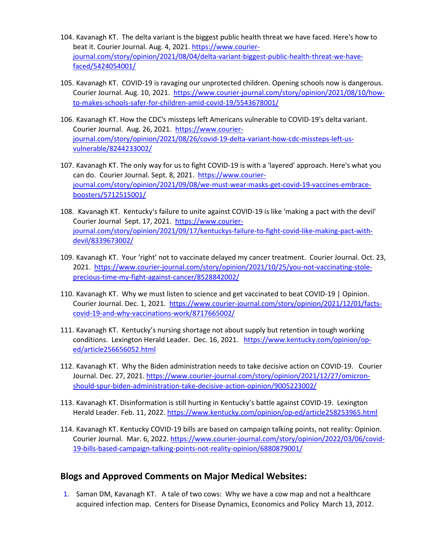- 104. Kavanagh KT. The delta variant is the biggest public health threat we have faced. Here's how to beat it. Courier Journal. Aug. 4, 2021. [https://www.courier](https://www.courier-journal.com/story/opinion/2021/08/04/delta-variant-biggest-public-health-threat-we-have-faced/5424054001/)[journal.com/story/opinion/2021/08/04/delta-variant-biggest-public-health-threat-we-have](https://www.courier-journal.com/story/opinion/2021/08/04/delta-variant-biggest-public-health-threat-we-have-faced/5424054001/)[faced/5424054001/](https://www.courier-journal.com/story/opinion/2021/08/04/delta-variant-biggest-public-health-threat-we-have-faced/5424054001/)
- 105. Kavanagh KT. COVID-19 is ravaging our unprotected children. Opening schools now is dangerous. Courier Journal. Aug. 10, 2021. [https://www.courier-journal.com/story/opinion/2021/08/10/how](https://www.courier-journal.com/story/opinion/2021/08/10/how-to-makes-schools-safer-for-children-amid-covid-19/5543678001/)[to-makes-schools-safer-for-children-amid-covid-19/5543678001/](https://www.courier-journal.com/story/opinion/2021/08/10/how-to-makes-schools-safer-for-children-amid-covid-19/5543678001/)
- 106. Kavanagh KT. How the CDC's missteps left Americans vulnerable to COVID-19's delta variant. Courier Journal. Aug. 26, 2021. [https://www.courier](https://www.courier-journal.com/story/opinion/2021/08/26/covid-19-delta-variant-how-cdc-missteps-left-us-vulnerable/8244233002/)[journal.com/story/opinion/2021/08/26/covid-19-delta-variant-how-cdc-missteps-left-us](https://www.courier-journal.com/story/opinion/2021/08/26/covid-19-delta-variant-how-cdc-missteps-left-us-vulnerable/8244233002/)[vulnerable/8244233002/](https://www.courier-journal.com/story/opinion/2021/08/26/covid-19-delta-variant-how-cdc-missteps-left-us-vulnerable/8244233002/)
- 107. Kavanagh KT. The only way for us to fight COVID-19 is with a 'layered' approach. Here's what you can do. Courier Journal. Sept. 8, 2021. [https://www.courier](https://www.courier-journal.com/story/opinion/2021/09/08/we-must-wear-masks-get-covid-19-vaccines-embrace-boosters/5712515001/)[journal.com/story/opinion/2021/09/08/we-must-wear-masks-get-covid-19-vaccines-embrace](https://www.courier-journal.com/story/opinion/2021/09/08/we-must-wear-masks-get-covid-19-vaccines-embrace-boosters/5712515001/)[boosters/5712515001/](https://www.courier-journal.com/story/opinion/2021/09/08/we-must-wear-masks-get-covid-19-vaccines-embrace-boosters/5712515001/)
- 108. Kavanagh KT. Kentucky's failure to unite against COVID-19 is like 'making a pact with the devil' Courier Journal Sept. 17, 2021. [https://www.courier](https://www.courier-journal.com/story/opinion/2021/09/17/kentuckys-failure-to-fight-covid-like-making-pact-with-devil/8339673002/)[journal.com/story/opinion/2021/09/17/kentuckys-failure-to-fight-covid-like-making-pact-with](https://www.courier-journal.com/story/opinion/2021/09/17/kentuckys-failure-to-fight-covid-like-making-pact-with-devil/8339673002/)[devil/8339673002/](https://www.courier-journal.com/story/opinion/2021/09/17/kentuckys-failure-to-fight-covid-like-making-pact-with-devil/8339673002/)
- 109. Kavanagh KT. Your 'right' not to vaccinate delayed my cancer treatment. Courier Journal. Oct. 23, 2021. [https://www.courier-journal.com/story/opinion/2021/10/25/you-not-vaccinating-stole](https://www.courier-journal.com/story/opinion/2021/10/25/you-not-vaccinating-stole-precious-time-my-fight-against-cancer/8528842002/)[precious-time-my-fight-against-cancer/8528842002/](https://www.courier-journal.com/story/opinion/2021/10/25/you-not-vaccinating-stole-precious-time-my-fight-against-cancer/8528842002/)
- 110. Kavanagh KT. Why we must listen to science and get vaccinated to beat COVID-19 | Opinion. Courier Journal. Dec. 1, 2021. [https://www.courier-journal.com/story/opinion/2021/12/01/facts](https://www.courier-journal.com/story/opinion/2021/12/01/facts-covid-19-and-why-vaccinations-work/8717665002/)[covid-19-and-why-vaccinations-work/8717665002/](https://www.courier-journal.com/story/opinion/2021/12/01/facts-covid-19-and-why-vaccinations-work/8717665002/)
- 111. Kavanagh KT. Kentucky's nursing shortage not about supply but retention in tough working conditions. Lexington Herald Leader. Dec. 16, 2021. [https://www.kentucky.com/opinion/op](https://www.kentucky.com/opinion/op-ed/article256656052.html)[ed/article256656052.html](https://www.kentucky.com/opinion/op-ed/article256656052.html)
- 112. Kavanagh KT. Why the Biden administration needs to take decisive action on COVID-19. Courier Journal. Dec. 27, 2021[. https://www.courier-journal.com/story/opinion/2021/12/27/omicron](https://www.courier-journal.com/story/opinion/2021/12/27/omicron-should-spur-biden-administration-take-decisive-action-opinion/9005223002/)[should-spur-biden-administration-take-decisive-action-opinion/9005223002/](https://www.courier-journal.com/story/opinion/2021/12/27/omicron-should-spur-biden-administration-take-decisive-action-opinion/9005223002/)
- 113. Kavanagh KT. Disinformation is still hurting in Kentucky's battle against COVID-19. Lexington Herald Leader. Feb. 11, 2022.<https://www.kentucky.com/opinion/op-ed/article258253965.html>
- 114. Kavanagh KT. Kentucky COVID-19 bills are based on campaign talking points, not reality: Opinion. Courier Journal. Mar. 6, 2022[. https://www.courier-journal.com/story/opinion/2022/03/06/covid-](https://www.courier-journal.com/story/opinion/2022/03/06/covid-19-bills-based-campaign-talking-points-not-reality-opinion/6880879001/)[19-bills-based-campaign-talking-points-not-reality-opinion/6880879001/](https://www.courier-journal.com/story/opinion/2022/03/06/covid-19-bills-based-campaign-talking-points-not-reality-opinion/6880879001/)

## **Blogs and Approved Comments on Major Medical Websites:**

1. Saman DM, Kavanagh KT. A tale of two cows: Why we have a cow map and not a healthcare acquired infection map. Centers for Disease Dynamics, Economics and Policy March 13, 2012.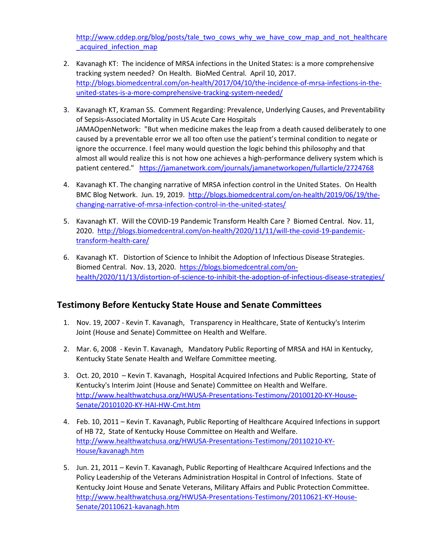[http://www.cddep.org/blog/posts/tale\\_two\\_cows\\_why\\_we\\_have\\_cow\\_map\\_and\\_not\\_healthcare](http://www.cddep.org/blog/posts/tale_two_cows_why_we_have_cow_map_and_not_healthcare_acquired_infection_map) acquired infection map

- 2. Kavanagh KT: The incidence of MRSA infections in the United States: is a more comprehensive tracking system needed? On Health. BioMed Central. April 10, 2017. [http://blogs.biomedcentral.com/on-health/2017/04/10/the-incidence-of-mrsa-infections-in-the](http://blogs.biomedcentral.com/on-health/2017/04/10/the-incidence-of-mrsa-infections-in-the-united-states-is-a-more-comprehensive-tracking-system-needed/)[united-states-is-a-more-comprehensive-tracking-system-needed/](http://blogs.biomedcentral.com/on-health/2017/04/10/the-incidence-of-mrsa-infections-in-the-united-states-is-a-more-comprehensive-tracking-system-needed/)
- 3. Kavanagh KT, Kraman SS. Comment Regarding: Prevalence, Underlying Causes, and Preventability of Sepsis-Associated Mortality in US Acute Care Hospitals JAMAOpenNetwork: "But when medicine makes the leap from a death caused deliberately to one caused by a preventable error we all too often use the patient's terminal condition to negate or ignore the occurrence. I feel many would question the logic behind this philosophy and that almost all would realize this is not how one achieves a high-performance delivery system which is patient centered." <https://jamanetwork.com/journals/jamanetworkopen/fullarticle/2724768>
- 4. Kavanagh KT. The changing narrative of MRSA infection control in the United States. On Health BMC Blog Network. Jun. 19, 2019. [http://blogs.biomedcentral.com/on-health/2019/06/19/the](http://blogs.biomedcentral.com/on-health/2019/06/19/the-changing-narrative-of-mrsa-infection-control-in-the-united-states/)[changing-narrative-of-mrsa-infection-control-in-the-united-states/](http://blogs.biomedcentral.com/on-health/2019/06/19/the-changing-narrative-of-mrsa-infection-control-in-the-united-states/)
- 5. Kavanagh KT. Will the COVID-19 Pandemic Transform Health Care ? Biomed Central. Nov. 11, 2020. [http://blogs.biomedcentral.com/on-health/2020/11/11/will-the-covid-19-pandemic](http://blogs.biomedcentral.com/on-health/2020/11/11/will-the-covid-19-pandemic-transform-health-care/)[transform-health-care/](http://blogs.biomedcentral.com/on-health/2020/11/11/will-the-covid-19-pandemic-transform-health-care/)
- 6. Kavanagh KT. Distortion of Science to Inhibit the Adoption of Infectious Disease Strategies. Biomed Central. Nov. 13, 2020. [https://blogs.biomedcentral.com/on](https://blogs.biomedcentral.com/on-health/2020/11/13/distortion-of-science-to-inhibit-the-adoption-of-infectious-disease-strategies/)[health/2020/11/13/distortion-of-science-to-inhibit-the-adoption-of-infectious-disease-strategies/](https://blogs.biomedcentral.com/on-health/2020/11/13/distortion-of-science-to-inhibit-the-adoption-of-infectious-disease-strategies/)

# **Testimony Before Kentucky State House and Senate Committees**

- 1. Nov. 19, 2007 Kevin T. Kavanagh, Transparency in Healthcare, State of Kentucky's Interim Joint (House and Senate) Committee on Health and Welfare.
- 2. Mar. 6, 2008 Kevin T. Kavanagh, Mandatory Public Reporting of MRSA and HAI in Kentucky, Kentucky State Senate Health and Welfare Committee meeting.
- 3. Oct. 20, 2010 Kevin T. Kavanagh, Hospital Acquired Infections and Public Reporting, State of Kentucky's Interim Joint (House and Senate) Committee on Health and Welfare. [http://www.healthwatchusa.org/HWUSA-Presentations-Testimony/20100120-KY-House-](http://www.healthwatchusa.org/HWUSA-Presentations-Testimony/20100120-KY-House-Senate/20101020-KY-HAI-HW-Cmt.htm)[Senate/20101020-KY-HAI-HW-Cmt.htm](http://www.healthwatchusa.org/HWUSA-Presentations-Testimony/20100120-KY-House-Senate/20101020-KY-HAI-HW-Cmt.htm)
- 4. Feb. 10, 2011 Kevin T. Kavanagh, Public Reporting of Healthcare Acquired Infections in support of HB 72, State of Kentucky House Committee on Health and Welfare. [http://www.healthwatchusa.org/HWUSA-Presentations-Testimony/20110210-KY-](http://www.healthwatchusa.org/HWUSA-Presentations-Testimony/20110210-KY-House/kavanagh.htm)[House/kavanagh.htm](http://www.healthwatchusa.org/HWUSA-Presentations-Testimony/20110210-KY-House/kavanagh.htm)
- 5. Jun. 21, 2011 Kevin T. Kavanagh, Public Reporting of Healthcare Acquired Infections and the Policy Leadership of the Veterans Administration Hospital in Control of Infections. State of Kentucky Joint House and Senate Veterans, Military Affairs and Public Protection Committee. [http://www.healthwatchusa.org/HWUSA-Presentations-Testimony/20110621-KY-House-](http://www.healthwatchusa.org/HWUSA-Presentations-Testimony/20110621-KY-House-Senate/20110621-kavanagh.htm)[Senate/20110621-kavanagh.htm](http://www.healthwatchusa.org/HWUSA-Presentations-Testimony/20110621-KY-House-Senate/20110621-kavanagh.htm)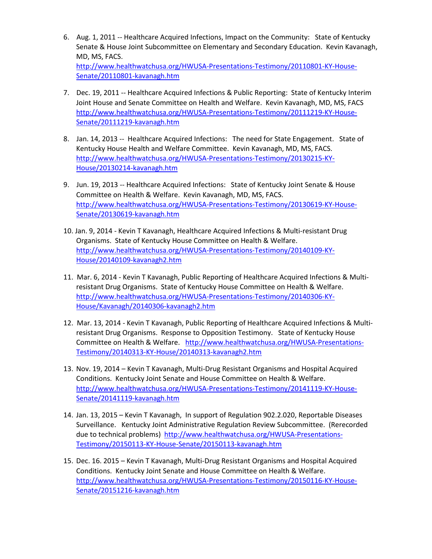- 6. Aug. 1, 2011 -- Healthcare Acquired Infections, Impact on the Community: State of Kentucky Senate & House Joint Subcommittee on Elementary and Secondary Education. Kevin Kavanagh, MD, MS, FACS. [http://www.healthwatchusa.org/HWUSA-Presentations-Testimony/20110801-KY-House-](http://www.healthwatchusa.org/HWUSA-Presentations-Testimony/20110801-KY-House-Senate/20110801-kavanagh.htm)[Senate/20110801-kavanagh.htm](http://www.healthwatchusa.org/HWUSA-Presentations-Testimony/20110801-KY-House-Senate/20110801-kavanagh.htm)
- 7. Dec. 19, 2011 -- Healthcare Acquired Infections & Public Reporting: State of Kentucky Interim Joint House and Senate Committee on Health and Welfare. Kevin Kavanagh, MD, MS, FACS [http://www.healthwatchusa.org/HWUSA-Presentations-Testimony/20111219-KY-House-](http://www.healthwatchusa.org/HWUSA-Presentations-Testimony/20111219-KY-House-Senate/20111219-kavanagh.htm)[Senate/20111219-kavanagh.htm](http://www.healthwatchusa.org/HWUSA-Presentations-Testimony/20111219-KY-House-Senate/20111219-kavanagh.htm)
- 8. Jan. 14, 2013 -- Healthcare Acquired Infections: The need for State Engagement. State of Kentucky House Health and Welfare Committee. Kevin Kavanagh, MD, MS, FACS. [http://www.healthwatchusa.org/HWUSA-Presentations-Testimony/20130215-KY-](http://www.healthwatchusa.org/HWUSA-Presentations-Testimony/20130215-KY-House/20130214-kavanagh.htm)[House/20130214-kavanagh.htm](http://www.healthwatchusa.org/HWUSA-Presentations-Testimony/20130215-KY-House/20130214-kavanagh.htm)
- 9. Jun. 19, 2013 -- Healthcare Acquired Infections: State of Kentucky Joint Senate & House Committee on Health & Welfare. Kevin Kavanagh, MD, MS, FACS. [http://www.healthwatchusa.org/HWUSA-Presentations-Testimony/20130619-KY-House-](http://www.healthwatchusa.org/HWUSA-Presentations-Testimony/20130619-KY-House-Senate/20130619-kavanagh.htm)[Senate/20130619-kavanagh.htm](http://www.healthwatchusa.org/HWUSA-Presentations-Testimony/20130619-KY-House-Senate/20130619-kavanagh.htm)
- 10. Jan. 9, 2014 Kevin T Kavanagh, Healthcare Acquired Infections & Multi-resistant Drug Organisms. State of Kentucky House Committee on Health & Welfare. [http://www.healthwatchusa.org/HWUSA-Presentations-Testimony/20140109-KY-](http://www.healthwatchusa.org/HWUSA-Presentations-Testimony/20140109-KY-House/20140109-kavanagh2.htm)[House/20140109-kavanagh2.htm](http://www.healthwatchusa.org/HWUSA-Presentations-Testimony/20140109-KY-House/20140109-kavanagh2.htm)
- 11. Mar. 6, 2014 Kevin T Kavanagh, Public Reporting of Healthcare Acquired Infections & Multiresistant Drug Organisms. State of Kentucky House Committee on Health & Welfare. [http://www.healthwatchusa.org/HWUSA-Presentations-Testimony/20140306-KY-](http://www.healthwatchusa.org/HWUSA-Presentations-Testimony/20140306-KY-House/Kavanagh/20140306-kavanagh2.htm)[House/Kavanagh/20140306-kavanagh2.htm](http://www.healthwatchusa.org/HWUSA-Presentations-Testimony/20140306-KY-House/Kavanagh/20140306-kavanagh2.htm)
- 12. Mar. 13, 2014 Kevin T Kavanagh, Public Reporting of Healthcare Acquired Infections & Multiresistant Drug Organisms. Response to Opposition Testimony. State of Kentucky House Committee on Health & Welfare. [http://www.healthwatchusa.org/HWUSA-Presentations-](http://www.healthwatchusa.org/HWUSA-Presentations-Testimony/20140313-KY-House/20140313-kavanagh2.htm)[Testimony/20140313-KY-House/20140313-kavanagh2.htm](http://www.healthwatchusa.org/HWUSA-Presentations-Testimony/20140313-KY-House/20140313-kavanagh2.htm)
- 13. Nov. 19, 2014 Kevin T Kavanagh, Multi-Drug Resistant Organisms and Hospital Acquired Conditions. Kentucky Joint Senate and House Committee on Health & Welfare. [http://www.healthwatchusa.org/HWUSA-Presentations-Testimony/20141119-KY-House-](http://www.healthwatchusa.org/HWUSA-Presentations-Testimony/20141119-KY-House-Senate/20141119-kavanagh.htm)[Senate/20141119-kavanagh.htm](http://www.healthwatchusa.org/HWUSA-Presentations-Testimony/20141119-KY-House-Senate/20141119-kavanagh.htm)
- 14. Jan. 13, 2015 Kevin T Kavanagh, In support of Regulation 902.2.020, Reportable Diseases Surveillance. Kentucky Joint Administrative Regulation Review Subcommittee. (Rerecorded due to technical problems) [http://www.healthwatchusa.org/HWUSA-Presentations-](http://www.healthwatchusa.org/HWUSA-Presentations-Testimony/20150113-KY-House-Senate/20150113-kavanagh.htm)[Testimony/20150113-KY-House-Senate/20150113-kavanagh.htm](http://www.healthwatchusa.org/HWUSA-Presentations-Testimony/20150113-KY-House-Senate/20150113-kavanagh.htm)
- 15. Dec. 16. 2015 Kevin T Kavanagh, Multi-Drug Resistant Organisms and Hospital Acquired Conditions. Kentucky Joint Senate and House Committee on Health & Welfare. [http://www.healthwatchusa.org/HWUSA-Presentations-Testimony/20150116-KY-House-](http://www.healthwatchusa.org/HWUSA-Presentations-Testimony/20150116-KY-House-Senate/20151216-kavanagh.htm)[Senate/20151216-kavanagh.htm](http://www.healthwatchusa.org/HWUSA-Presentations-Testimony/20150116-KY-House-Senate/20151216-kavanagh.htm)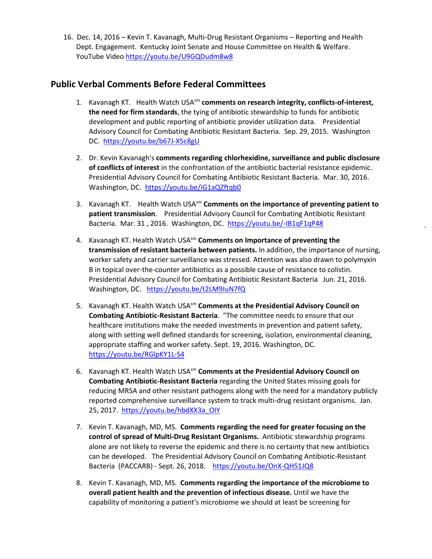16. Dec. 14, 2016 – Kevin T. Kavanagh, Multi-Drug Resistant Organisms – Reporting and Health Dept. Engagement. Kentucky Joint Senate and House Committee on Health & Welfare. YouTube Video<https://youtu.be/U9GQDudm8w8>

## **Public Verbal Comments Before Federal Committees**

- 1. Kavanagh KT. Health Watch USAsm **comments on research integrity, conflicts-of-interest, the need for firm standards**, the tying of antibiotic stewardship to funds for antibiotic development and public reporting of antibiotic provider utilization data. Presidential Advisory Council for Combating Antibiotic Resistant Bacteria. Sep. 29, 2015. Washington DC. <https://youtu.be/b67J-X5c8gU>
- 2. Dr. Kevin Kavanagh's **comments regarding chlorhexidine, surveillance and public disclosure of conflicts of interest** in the confrontation of the antibiotic bacterial resistance epidemic. Presidential Advisory Council for Combating Antibiotic Resistant Bacteria. Mar. 30, 2016. Washington, DC.<https://youtu.be/iG1aQZftqb0>
- 3. Kavanagh KT. Health Watch USAsm **Comments on the importance of preventing patient to patient transmission**. Presidential Advisory Council for Combating Antibiotic Resistant Bacteria. Mar. 31, 2016. Washington, DC.<https://youtu.be/-IB1qF1qP48>
- 4. Kavanagh KT. Health Watch USAsm **Comments on Importance of preventing the transmission of resistant bacteria between patients.** In addition, the importance of nursing, worker safety and carrier surveillance was stressed. Attention was also drawn to polymyxin B in topical over-the-counter antibiotics as a possible cause of resistance to colistin. Presidential Advisory Council for Combating Antibiotic Resistant Bacteria Jun. 21, 2016. Washington, DC. <https://youtu.be/t2LM9IuN7fQ>
- 5. Kavanagh KT. Health Watch USAsm **Comments at the Presidential Advisory Council on Combating Antibiotic-Resistant Bacteria**. "The committee needs to ensure that our healthcare institutions make the needed investments in prevention and patient safety, along with setting well defined standards for screening, isolation, environmental cleaning, appropriate staffing and worker safety. Sept. 19, 2016. Washington, DC. <https://youtu.be/RGlpKY1L-S4>
- 6. Kavanagh KT. Health Watch USAsm **Comments at the Presidential Advisory Council on Combating Antibiotic-Resistant Bacteria** regarding the United States missing goals for reducing MRSA and other resistant pathogens along with the need for a mandatory publicly reported comprehensive surveillance system to track multi-drug resistant organisms. Jan. 25, 2017. [https://youtu.be/hbdXX3a\\_OIY](https://youtu.be/hbdXX3a_OIY)
- 7. Kevin T. Kavanagh, MD, MS. **Comments regarding the need for greater focusing on the control of spread of Multi-Drug Resistant Organisms.** Antibiotic stewardship programs alone are not likely to reverse the epidemic and there is no certainty that new antibiotics can be developed. The Presidential Advisory Council on Combating Antibiotic-Resistant Bacteria (PACCARB) - Sept. 26, 2018. <https://youtu.be/OnX-QH51JQ8>
- 8. Kevin T. Kavanagh, MD, MS. **Comments regarding the importance of the microbiome to overall patient health and the prevention of infectious disease.** Until we have the capability of monitoring a patient's microbiome we should at least be screening for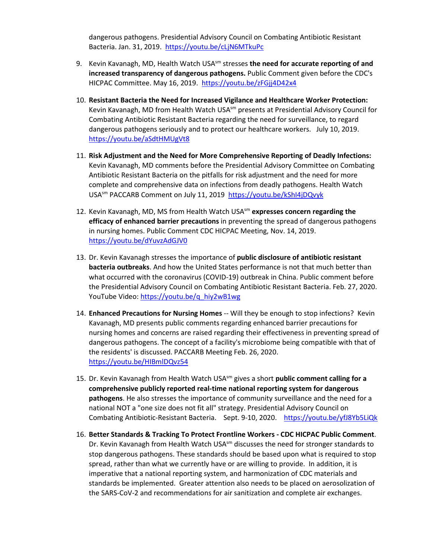dangerous pathogens. Presidential Advisory Council on Combating Antibiotic Resistant Bacteria. Jan. 31, 2019. <https://youtu.be/cLjN6MTkuPc>

- 9. Kevin Kavanagh, MD, Health Watch USA<sup>sm</sup> stresses the need for accurate reporting of and **increased transparency of dangerous pathogens.** Public Comment given before the CDC's HICPAC Committee. May 16, 2019. <https://youtu.be/zFGjj4D42x4>
- 10. **Resistant Bacteria the Need for Increased Vigilance and Healthcare Worker Protection:** Kevin Kavanagh, MD from Health Watch USA<sup>sm</sup> presents at Presidential Advisory Council for Combating Antibiotic Resistant Bacteria regarding the need for surveillance, to regard dangerous pathogens seriously and to protect our healthcare workers. July 10, 2019. <https://youtu.be/aSdtHMUgVt8>
- 11. **Risk Adjustment and the Need for More Comprehensive Reporting of Deadly Infections:** Kevin Kavanagh, MD comments before the Presidential Advisory Committee on Combating Antibiotic Resistant Bacteria on the pitfalls for risk adjustment and the need for more complete and comprehensive data on infections from deadly pathogens. Health Watch USAsm PACCARB Comment on July 11, 2019<https://youtu.be/kShI4jDQvyk>
- 12. Kevin Kavanagh, MD, MS from Health Watch USA<sup>sm</sup> expresses concern regarding the **efficacy of enhanced barrier precautions** in preventing the spread of dangerous pathogens in nursing homes. Public Comment CDC HICPAC Meeting, Nov. 14, 2019. <https://youtu.be/dYuvzAdGJV0>
- 13. Dr. Kevin Kavanagh stresses the importance of **public disclosure of antibiotic resistant bacteria outbreaks**. And how the United States performance is not that much better than what occurred with the coronavirus (COVID-19) outbreak in China. Public comment before the Presidential Advisory Council on Combating Antibiotic Resistant Bacteria. Feb. 27, 2020. YouTube Video: [https://youtu.be/q\\_hiy2wB1wg](https://youtu.be/q_hiy2wB1wg)
- 14. **Enhanced Precautions for Nursing Homes** -- Will they be enough to stop infections? Kevin Kavanagh, MD presents public comments regarding enhanced barrier precautions for nursing homes and concerns are raised regarding their effectiveness in preventing spread of dangerous pathogens. The concept of a facility's microbiome being compatible with that of the residents' is discussed. PACCARB Meeting Feb. 26, 2020. <https://youtu.be/HIBmlDQvz54>
- 15. Dr. Kevin Kavanagh from Health Watch USA<sup>sm</sup> gives a short **public comment calling for a comprehensive publicly reported real-time national reporting system for dangerous pathogens**. He also stresses the importance of community surveillance and the need for a national NOT a "one size does not fit all" strategy. Presidential Advisory Council on Combating Antibiotic-Resistant Bacteria. Sept. 9-10, 2020. https://youtu.be/yfJ8Yb5LiQk
- 16. **Better Standards & Tracking To Protect Frontline Workers - CDC HICPAC Public Comment**. Dr. Kevin Kavanagh from Health Watch USA $\text{sm}$  discusses the need for stronger standards to stop dangerous pathogens. These standards should be based upon what is required to stop spread, rather than what we currently have or are willing to provide. In addition, it is imperative that a national reporting system, and harmonization of CDC materials and standards be implemented. Greater attention also needs to be placed on aerosolization of the SARS-CoV-2 and recommendations for air sanitization and complete air exchanges.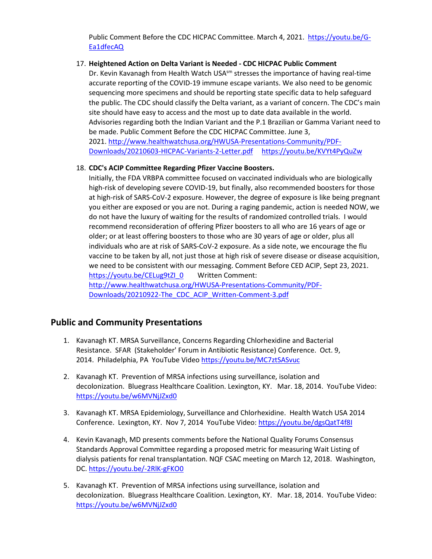Public Comment Before the CDC HICPAC Committee. March 4, 2021. [https://youtu.be/G-](https://youtu.be/G-Ea1dfecAQ)[Ea1dfecAQ](https://youtu.be/G-Ea1dfecAQ) 

#### 17. **Heightened Action on Delta Variant is Needed - CDC HICPAC Public Comment**

Dr. Kevin Kavanagh from Health Watch USA $^{5m}$  stresses the importance of having real-time accurate reporting of the COVID-19 immune escape variants. We also need to be genomic sequencing more specimens and should be reporting state specific data to help safeguard the public. The CDC should classify the Delta variant, as a variant of concern. The CDC's main site should have easy to access and the most up to date data available in the world. Advisories regarding both the Indian Variant and the P.1 Brazilian or Gamma Variant need to be made. Public Comment Before the CDC HICPAC Committee. June 3, 2021. [http://www.healthwatchusa.org/HWUSA-Presentations-Community/PDF-](http://www.healthwatchusa.org/HWUSA-Presentations-Community/PDF-Downloads/20210603-HICPAC-Variants-2-Letter.pdf)[Downloads/20210603-HICPAC-Variants-2-Letter.pdf](http://www.healthwatchusa.org/HWUSA-Presentations-Community/PDF-Downloads/20210603-HICPAC-Variants-2-Letter.pdf) https://youtu.be/KVYt4PyQuZw

#### 18. **CDC's ACIP Committee Regarding Pfizer Vaccine Boosters.**

Initially, the FDA VRBPA committee focused on vaccinated individuals who are biologically high-risk of developing severe COVID-19, but finally, also recommended boosters for those at high-risk of SARS-CoV-2 exposure. However, the degree of exposure is like being pregnant you either are exposed or you are not. During a raging pandemic, action is needed NOW, we do not have the luxury of waiting for the results of randomized controlled trials. I would recommend reconsideration of offering Pfizer boosters to all who are 16 years of age or older; or at least offering boosters to those who are 30 years of age or older, plus all individuals who are at risk of SARS-CoV-2 exposure. As a side note, we encourage the flu vaccine to be taken by all, not just those at high risk of severe disease or disease acquisition, we need to be consistent with our messaging. Comment Before CED ACIP, Sept 23, 2021. [https://youtu.be/CELug9tZI\\_0](https://youtu.be/CELug9tZI_0) Written Comment: [http://www.healthwatchusa.org/HWUSA-Presentations-Community/PDF-](http://www.healthwatchusa.org/HWUSA-Presentations-Community/PDF-Downloads/20210922-The_CDC_ACIP_Written-Comment-3.pdf)[Downloads/20210922-The\\_CDC\\_ACIP\\_Written-Comment-3.pdf](http://www.healthwatchusa.org/HWUSA-Presentations-Community/PDF-Downloads/20210922-The_CDC_ACIP_Written-Comment-3.pdf) 

#### **Public and Community Presentations**

- 1. Kavanagh KT. MRSA Surveillance, Concerns Regarding Chlorhexidine and Bacterial Resistance. SFAR (Stakeholder' Forum in Antibiotic Resistance) Conference. Oct. 9, 2014. Philadelphia, PA YouTube Vide[o https://youtu.be/MC7ztSASvuc](https://youtu.be/MC7ztSASvuc)
- 2. Kavanagh KT. Prevention of MRSA infections using surveillance, isolation and decolonization. Bluegrass Healthcare Coalition. Lexington, KY. Mar. 18, 2014. YouTube Video: <https://youtu.be/w6MVNjJZxd0>
- 3. Kavanagh KT. MRSA Epidemiology, Surveillance and Chlorhexidine. Health Watch USA 2014 Conference. Lexington, KY. Nov 7, 2014 YouTube Video:<https://youtu.be/dgsQatT4f8I>
- 4. Kevin Kavanagh, MD presents comments before the National Quality Forums Consensus Standards Approval Committee regarding a proposed metric for measuring Wait Listing of dialysis patients for renal transplantation. NQF CSAC meeting on March 12, 2018. Washington, DC.<https://youtu.be/-2RlK-gFKO0>
- 5. Kavanagh KT. Prevention of MRSA infections using surveillance, isolation and decolonization. Bluegrass Healthcare Coalition. Lexington, KY. Mar. 18, 2014. YouTube Video: <https://youtu.be/w6MVNjJZxd0>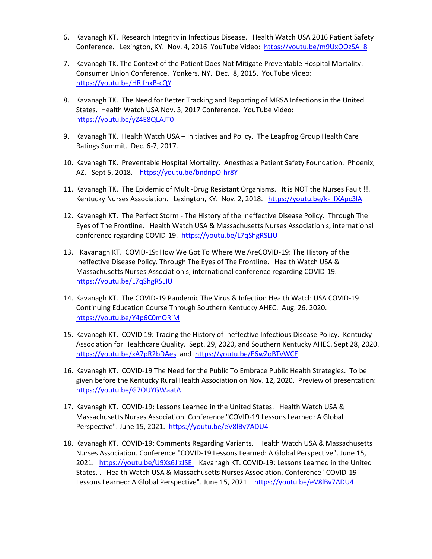- 6. Kavanagh KT. Research Integrity in Infectious Disease. Health Watch USA 2016 Patient Safety Conference. Lexington, KY. Nov. 4, 2016 YouTube Video: [https://youtu.be/m9UxOOzSA\\_8](https://youtu.be/m9UxOOzSA_8)
- 7. Kavanagh TK. The Context of the Patient Does Not Mitigate Preventable Hospital Mortality. Consumer Union Conference. Yonkers, NY. Dec. 8, 2015. YouTube Video: <https://youtu.be/HRlfhxB-cQY>
- 8. Kavanagh TK. The Need for Better Tracking and Reporting of MRSA Infections in the United States. Health Watch USA Nov. 3, 2017 Conference. YouTube Video: <https://youtu.be/yZ4E8QLAJT0>
- 9. Kavanagh TK. Health Watch USA Initiatives and Policy. The Leapfrog Group Health Care Ratings Summit. Dec. 6-7, 2017.
- 10. Kavanagh TK. Preventable Hospital Mortality. Anesthesia Patient Safety Foundation. Phoenix, AZ. Sept 5, 2018. <https://youtu.be/bndnpO-hr8Y>
- 11. Kavanagh TK. The Epidemic of Multi-Drug Resistant Organisms. It is NOT the Nurses Fault !!. Kentucky Nurses Association. Lexington, KY. Nov. 2, 2018. https://youtu.be/k-fXApc3lA
- 12. Kavanagh KT. The Perfect Storm The History of the Ineffective Disease Policy. Through The Eyes of The Frontline. Health Watch USA & Massachusetts Nurses Association's, international conference regarding COVID-19. <https://youtu.be/L7qShgRSLIU>
- 13. Kavanagh KT. COVID-19: How We Got To Where We AreCOVID-19: The History of the Ineffective Disease Policy. Through The Eyes of The Frontline. Health Watch USA & Massachusetts Nurses Association's, international conference regarding COVID-19. <https://youtu.be/L7qShgRSLIU>
- 14. Kavanagh KT. The COVID-19 Pandemic The Virus & Infection Health Watch USA COVID-19 Continuing Education Course Through Southern Kentucky AHEC. Aug. 26, 2020. <https://youtu.be/Y4p6C0mORiM>
- 15. Kavanagh KT. COVID 19: Tracing the History of Ineffective Infectious Disease Policy. Kentucky Association for Healthcare Quality. Sept. 29, 2020, and Southern Kentucky AHEC. Sept 28, 2020. <https://youtu.be/xA7pR2bDAes>and<https://youtu.be/E6wZoBTvWCE>
- 16. Kavanagh KT. COVID-19 The Need for the Public To Embrace Public Health Strategies. To be given before the Kentucky Rural Health Association on Nov. 12, 2020. Preview of presentation: <https://youtu.be/G7OUYGWaatA>
- 17. Kavanagh KT. COVID-19: Lessons Learned in the United States. Health Watch USA & Massachusetts Nurses Association. Conference "COVID-19 Lessons Learned: A Global Perspective". June 15, 2021. https://youtu.be/eV8lBv7ADU4
- 18. Kavanagh KT. COVID-19: Comments Regarding Variants. Health Watch USA & Massachusetts Nurses Association. Conference "COVID-19 Lessons Learned: A Global Perspective". June 15, 2021. <https://youtu.be/U9Xs6JizJSE>Kavanagh KT. COVID-19: Lessons Learned in the United States. . Health Watch USA & Massachusetts Nurses Association. Conference "COVID-19 Lessons Learned: A Global Perspective". June 15, 2021. <https://youtu.be/eV8lBv7ADU4>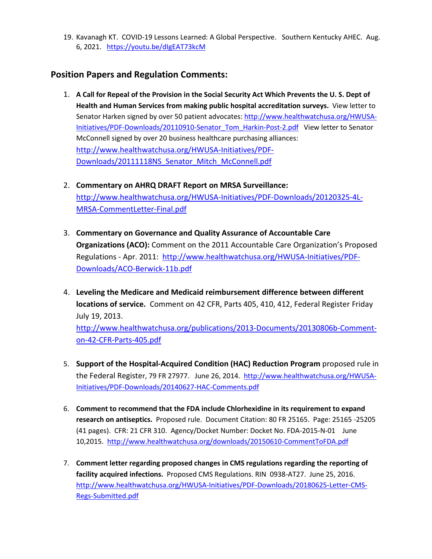19. Kavanagh KT. COVID-19 Lessons Learned: A Global Perspective. Southern Kentucky AHEC. Aug. 6, 2021. <https://youtu.be/dIgEAT73kcM>

## **Position Papers and Regulation Comments:**

- 1. **A Call for Repeal of the Provision in the Social Security Act Which Prevents the U. S. Dept of Health and Human Services from making public hospital accreditation surveys.** View letter to Senator Harken signed by over 50 patient advocates: [http://www.healthwatchusa.org/HWUSA-](http://www.healthwatchusa.org/HWUSA-Initiatives/PDF-Downloads/20110910-Senator_Tom_Harkin-Post-2.pdf)[Initiatives/PDF-Downloads/20110910-Senator\\_Tom\\_Harkin-Post-2.pdf](http://www.healthwatchusa.org/HWUSA-Initiatives/PDF-Downloads/20110910-Senator_Tom_Harkin-Post-2.pdf) View letter to Senator McConnell signed by over 20 business healthcare purchasing alliances: [http://www.healthwatchusa.org/HWUSA-Initiatives/PDF-](http://www.healthwatchusa.org/HWUSA-Initiatives/PDF-Downloads/20111118NS_Senator_Mitch_McConnell.pdf)[Downloads/20111118NS\\_Senator\\_Mitch\\_McConnell.pdf](http://www.healthwatchusa.org/HWUSA-Initiatives/PDF-Downloads/20111118NS_Senator_Mitch_McConnell.pdf)
- 2. **Commentary on AHRQ DRAFT Report on MRSA Surveillance:** [http://www.healthwatchusa.org/HWUSA-Initiatives/PDF-Downloads/20120325-4L-](http://www.healthwatchusa.org/HWUSA-Initiatives/PDF-Downloads/20120325-4L-MRSA-CommentLetter-Final.pdf)[MRSA-CommentLetter-Final.pdf](http://www.healthwatchusa.org/HWUSA-Initiatives/PDF-Downloads/20120325-4L-MRSA-CommentLetter-Final.pdf)
- 3. **Commentary on Governance and Quality Assurance of Accountable Care Organizations (ACO):** Comment on the 2011 Accountable Care Organization's Proposed Regulations - Apr. 2011: [http://www.healthwatchusa.org/HWUSA-Initiatives/PDF-](http://www.healthwatchusa.org/HWUSA-Initiatives/PDF-Downloads/ACO-Berwick-11b.pdf)[Downloads/ACO-Berwick-11b.pdf](http://www.healthwatchusa.org/HWUSA-Initiatives/PDF-Downloads/ACO-Berwick-11b.pdf)
- 4. **Leveling the Medicare and Medicaid reimbursement difference between different locations of service.** Comment on 42 CFR, Parts 405, 410, 412, Federal Register Friday July 19, 2013.

[http://www.healthwatchusa.org/publications/2013-Documents/20130806b-Comment](http://www.healthwatchusa.org/publications/2013-Documents/20130806b-Comment-on-42-CFR-Parts-405.pdf)[on-42-CFR-Parts-405.pdf](http://www.healthwatchusa.org/publications/2013-Documents/20130806b-Comment-on-42-CFR-Parts-405.pdf) 

- 5. **Support of the Hospital-Acquired Condition (HAC) Reduction Program** proposed rule in the Federal Register, 79 FR 27977. June 26, 2014. [http://www.healthwatchusa.org/HWUSA-](http://www.healthwatchusa.org/HWUSA-Initiatives/PDF-Downloads/20140627-HAC-Comments.pdf)[Initiatives/PDF-Downloads/20140627-HAC-Comments.pdf](http://www.healthwatchusa.org/HWUSA-Initiatives/PDF-Downloads/20140627-HAC-Comments.pdf)
- 6. **Comment to recommend that the FDA include Chlorhexidine in its requirement to expand research on antiseptics.** Proposed rule. Document Citation: 80 FR 25165. Page: 25165 -25205 (41 pages). CFR: 21 CFR 310. Agency/Docket Number: Docket No. FDA-2015-N-01 June 10,2015. <http://www.healthwatchusa.org/downloads/20150610-CommentToFDA.pdf>
- 7. **Comment letter regarding proposed changes in CMS regulations regarding the reporting of facility acquired infections.** Proposed CMS Regulations. RIN 0938-AT27. June 25, 2016. [http://www.healthwatchusa.org/HWUSA-Initiatives/PDF-Downloads/20180625-Letter-CMS-](http://www.healthwatchusa.org/HWUSA-Initiatives/PDF-Downloads/20180625-Letter-CMS-Regs-Submitted.pdf)[Regs-Submitted.pdf](http://www.healthwatchusa.org/HWUSA-Initiatives/PDF-Downloads/20180625-Letter-CMS-Regs-Submitted.pdf)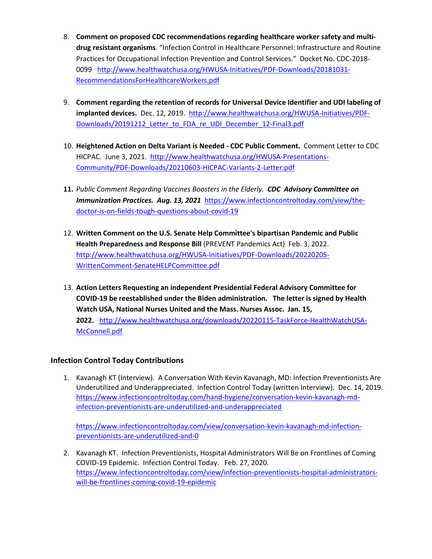- 8. **Comment on proposed CDC recommendations regarding healthcare worker safety and multidrug resistant organisms**. "Infection Control in Healthcare Personnel: Infrastructure and Routine Practices for Occupational Infection Prevention and Control Services." Docket No. CDC-2018- 0099 [http://www.healthwatchusa.org/HWUSA-Initiatives/PDF-Downloads/20181031-](http://www.healthwatchusa.org/HWUSA-Initiatives/PDF-Downloads/20181031-RecommendationsForHealthcareWorkers.pdf) [RecommendationsForHealthcareWorkers.pdf](http://www.healthwatchusa.org/HWUSA-Initiatives/PDF-Downloads/20181031-RecommendationsForHealthcareWorkers.pdf)
- 9. **Comment regarding the retention of records for Universal Device Identifier and UDI labeling of implanted devices.** Dec. 12, 2019. [http://www.healthwatchusa.org/HWUSA-Initiatives/PDF-](http://www.healthwatchusa.org/HWUSA-Initiatives/PDF-Downloads/20191212_Letter_to_FDA_re_UDI_December_12-Final3.pdf)Downloads/20191212 Letter to FDA re\_UDI\_December\_12-Final3.pdf
- 10. **Heightened Action on Delta Variant is Needed - CDC Public Comment.** Comment Letter to CDC HICPAC. June 3, 2021. [http://www.healthwatchusa.org/HWUSA-Presentations-](http://www.healthwatchusa.org/HWUSA-Presentations-Community/PDF-Downloads/20210603-HICPAC-Variants-2-Letter.pdf)[Community/PDF-Downloads/20210603-HICPAC-Variants-2-Letter.pdf](http://www.healthwatchusa.org/HWUSA-Presentations-Community/PDF-Downloads/20210603-HICPAC-Variants-2-Letter.pdf)
- **11.** *Public Comment Regarding Vaccines Boosters in the Elderly. CDC Advisory Committee on Immunization Practices. Aug. 13, 2021* [https://www.infectioncontroltoday.com/view/the](https://www.infectioncontroltoday.com/view/the-doctor-is-on-fields-tough-questions-about-covid-19)[doctor-is-on-fields-tough-questions-about-covid-19](https://www.infectioncontroltoday.com/view/the-doctor-is-on-fields-tough-questions-about-covid-19)
- 12. **Written Comment on the U.S. Senate Help Committee's bipartisan Pandemic and Public Health Preparedness and Response Bill** (PREVENT Pandemics Act) Feb. 3, 2022. [http://www.healthwatchusa.org/HWUSA-Initiatives/PDF-Downloads/20220205-](http://www.healthwatchusa.org/HWUSA-Initiatives/PDF-Downloads/20220205-WrittenComment-SenateHELPCommittee.pdf) [WrittenComment-SenateHELPCommittee.pdf](http://www.healthwatchusa.org/HWUSA-Initiatives/PDF-Downloads/20220205-WrittenComment-SenateHELPCommittee.pdf)
- 13. **Action Letters Requesting an independent Presidential Federal Advisory Committee for COVID-19 be reestablished under the Biden administration. The letter is signed by Health Watch USA, National Nurses United and the Mass. Nurses Assoc. Jan. 15, 2022.** [http://www.healthwatchusa.org/downloads/20220115-TaskForce-HealthWatchUSA-](http://www.healthwatchusa.org/downloads/20220115-TaskForce-HealthWatchUSA-McConnell.pdf)[McConnell.pdf](http://www.healthwatchusa.org/downloads/20220115-TaskForce-HealthWatchUSA-McConnell.pdf)

#### **Infection Control Today Contributions**

1. Kavanagh KT (Interview). A Conversation With Kevin Kavanagh, MD: Infection Preventionists Are Underutilized and Underappreciated. Infection Control Today (written Interview). Dec. 14, 2019. [https://www.infectioncontroltoday.com/hand-hygiene/conversation-kevin-kavanagh-md](https://www.infectioncontroltoday.com/hand-hygiene/conversation-kevin-kavanagh-md-infection-preventionists-are-underutilized-and-underappreciated)[infection-preventionists-are-underutilized-and-underappreciated](https://www.infectioncontroltoday.com/hand-hygiene/conversation-kevin-kavanagh-md-infection-preventionists-are-underutilized-and-underappreciated)

[https://www.infectioncontroltoday.com/view/conversation-kevin-kavanagh-md-infection](https://www.infectioncontroltoday.com/view/conversation-kevin-kavanagh-md-infection-preventionists-are-underutilized-and-0)[preventionists-are-underutilized-and-0](https://www.infectioncontroltoday.com/view/conversation-kevin-kavanagh-md-infection-preventionists-are-underutilized-and-0)

2. Kavanagh KT. Infection Preventionists, Hospital Administrators Will Be on Frontlines of Coming COVID-19 Epidemic. Infection Control Today. Feb. 27, 2020. [https://www.infectioncontroltoday.com/view/infection-preventionists-hospital-administrators](https://www.infectioncontroltoday.com/view/infection-preventionists-hospital-administrators-will-be-frontlines-coming-covid-19-epidemic)[will-be-frontlines-coming-covid-19-epidemic](https://www.infectioncontroltoday.com/view/infection-preventionists-hospital-administrators-will-be-frontlines-coming-covid-19-epidemic)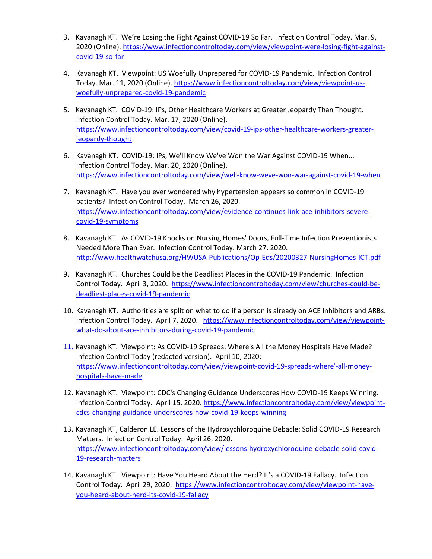- 3. Kavanagh KT. We're Losing the Fight Against COVID-19 So Far. Infection Control Today. Mar. 9, 2020 (Online). [https://www.infectioncontroltoday.com/view/viewpoint-were-losing-fight-against](https://www.infectioncontroltoday.com/view/viewpoint-were-losing-fight-against-covid-19-so-far)[covid-19-so-far](https://www.infectioncontroltoday.com/view/viewpoint-were-losing-fight-against-covid-19-so-far)
- 4. Kavanagh KT. Viewpoint: US Woefully Unprepared for COVID-19 Pandemic. Infection Control Today. Mar. 11, 2020 (Online)[. https://www.infectioncontroltoday.com/view/viewpoint-us](https://www.infectioncontroltoday.com/view/viewpoint-us-woefully-unprepared-covid-19-pandemic)[woefully-unprepared-covid-19-pandemic](https://www.infectioncontroltoday.com/view/viewpoint-us-woefully-unprepared-covid-19-pandemic)
- 5. Kavanagh KT. COVID-19: IPs, Other Healthcare Workers at Greater Jeopardy Than Thought. Infection Control Today. Mar. 17, 2020 (Online). [https://www.infectioncontroltoday.com/view/covid-19-ips-other-healthcare-workers-greater](https://www.infectioncontroltoday.com/view/covid-19-ips-other-healthcare-workers-greater-jeopardy-thought)[jeopardy-thought](https://www.infectioncontroltoday.com/view/covid-19-ips-other-healthcare-workers-greater-jeopardy-thought)
- 6. Kavanagh KT. COVID-19: IPs, We'll Know We've Won the War Against COVID-19 When... Infection Control Today. Mar. 20, 2020 (Online). <https://www.infectioncontroltoday.com/view/well-know-weve-won-war-against-covid-19-when>
- 7. Kavanagh KT. Have you ever wondered why hypertension appears so common in COVID-19 patients? Infection Control Today. March 26, 2020. [https://www.infectioncontroltoday.com/view/evidence-continues-link-ace-inhibitors-severe](https://www.infectioncontroltoday.com/view/evidence-continues-link-ace-inhibitors-severe-covid-19-symptoms)[covid-19-symptoms](https://www.infectioncontroltoday.com/view/evidence-continues-link-ace-inhibitors-severe-covid-19-symptoms)
- 8. Kavanagh KT. As COVID-19 Knocks on Nursing Homes' Doors, Full-Time Infection Preventionists Needed More Than Ever. Infection Control Today. March 27, 2020. <http://www.healthwatchusa.org/HWUSA-Publications/Op-Eds/20200327-NursingHomes-ICT.pdf>
- 9. Kavanagh KT. Churches Could be the Deadliest Places in the COVID-19 Pandemic. Infection Control Today. April 3, 2020. [https://www.infectioncontroltoday.com/view/churches-could-be](https://www.infectioncontroltoday.com/view/churches-could-be-deadliest-places-covid-19-pandemic)[deadliest-places-covid-19-pandemic](https://www.infectioncontroltoday.com/view/churches-could-be-deadliest-places-covid-19-pandemic)
- 10. Kavanagh KT. Authorities are split on what to do if a person is already on ACE Inhibitors and ARBs. Infection Control Today. April 7, 2020. [https://www.infectioncontroltoday.com/view/viewpoint](https://www.infectioncontroltoday.com/view/viewpoint-what-do-about-ace-inhibitors-during-covid-19-pandemic)[what-do-about-ace-inhibitors-during-covid-19-pandemic](https://www.infectioncontroltoday.com/view/viewpoint-what-do-about-ace-inhibitors-during-covid-19-pandemic)
- 11. Kavanagh KT. Viewpoint: As COVID-19 Spreads, Where's All the Money Hospitals Have Made? Infection Control Today (redacted version). April 10, 2020: [https://www.infectioncontroltoday.com/view/viewpoint-covid-19-spreads-where'-all-money](https://www.infectioncontroltoday.com/view/viewpoint-covid-19-spreads-where)[hospitals-have-made](https://www.infectioncontroltoday.com/view/viewpoint-covid-19-spreads-where)
- 12. Kavanagh KT. Viewpoint: CDC's Changing Guidance Underscores How COVID-19 Keeps Winning. Infection Control Today. April 15, 2020[. https://www.infectioncontroltoday.com/view/viewpoint](https://www.infectioncontroltoday.com/view/viewpoint-cdcs-changing-guidance-underscores-how-covid-19-keeps-winning)[cdcs-changing-guidance-underscores-how-covid-19-keeps-winning](https://www.infectioncontroltoday.com/view/viewpoint-cdcs-changing-guidance-underscores-how-covid-19-keeps-winning)
- 13. Kavanagh KT, Calderon LE. Lessons of the Hydroxychloroquine Debacle: Solid COVID-19 Research Matters. Infection Control Today. April 26, 2020. [https://www.infectioncontroltoday.com/view/lessons-hydroxychloroquine-debacle-solid-covid-](https://www.infectioncontroltoday.com/view/lessons-hydroxychloroquine-debacle-solid-covid-19-research-matters)[19-research-matters](https://www.infectioncontroltoday.com/view/lessons-hydroxychloroquine-debacle-solid-covid-19-research-matters)
- 14. Kavanagh KT. Viewpoint: Have You Heard About the Herd? It's a COVID-19 Fallacy. Infection Control Today. April 29, 2020. [https://www.infectioncontroltoday.com/view/viewpoint-have](https://www.infectioncontroltoday.com/view/viewpoint-have-you-heard-about-herd-its-covid-19-fallacy)[you-heard-about-herd-its-covid-19-fallacy](https://www.infectioncontroltoday.com/view/viewpoint-have-you-heard-about-herd-its-covid-19-fallacy)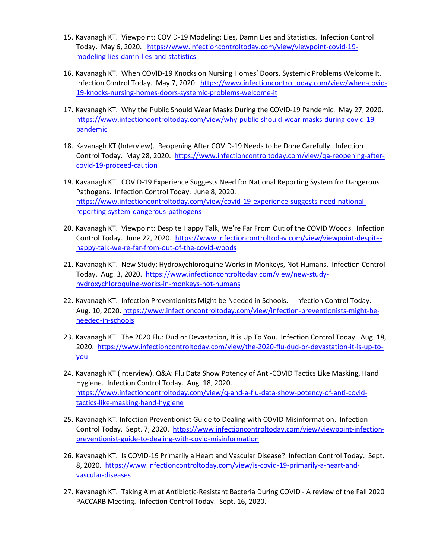- 15. Kavanagh KT. Viewpoint: COVID-19 Modeling: Lies, Damn Lies and Statistics. Infection Control Today. May 6, 2020. [https://www.infectioncontroltoday.com/view/viewpoint-covid-19](https://www.infectioncontroltoday.com/view/viewpoint-covid-19-modeling-lies-damn-lies-and-statistics) [modeling-lies-damn-lies-and-statistics](https://www.infectioncontroltoday.com/view/viewpoint-covid-19-modeling-lies-damn-lies-and-statistics)
- 16. Kavanagh KT. When COVID-19 Knocks on Nursing Homes' Doors, Systemic Problems Welcome It. Infection Control Today. May 7, 2020. [https://www.infectioncontroltoday.com/view/when-covid-](https://www.infectioncontroltoday.com/view/when-covid-19-knocks-nursing-homes-doors-systemic-problems-welcome-it)[19-knocks-nursing-homes-doors-systemic-problems-welcome-it](https://www.infectioncontroltoday.com/view/when-covid-19-knocks-nursing-homes-doors-systemic-problems-welcome-it)
- 17. Kavanagh KT. Why the Public Should Wear Masks During the COVID-19 Pandemic. May 27, 2020. [https://www.infectioncontroltoday.com/view/why-public-should-wear-masks-during-covid-19](https://www.infectioncontroltoday.com/view/why-public-should-wear-masks-during-covid-19-pandemic) [pandemic](https://www.infectioncontroltoday.com/view/why-public-should-wear-masks-during-covid-19-pandemic)
- 18. Kavanagh KT (Interview). Reopening After COVID-19 Needs to be Done Carefully. Infection Control Today. May 28, 2020. [https://www.infectioncontroltoday.com/view/qa-reopening-after](https://www.infectioncontroltoday.com/view/qa-reopening-after-covid-19-proceed-caution)[covid-19-proceed-caution](https://www.infectioncontroltoday.com/view/qa-reopening-after-covid-19-proceed-caution)
- 19. Kavanagh KT. COVID-19 Experience Suggests Need for National Reporting System for Dangerous Pathogens. Infection Control Today. June 8, 2020. [https://www.infectioncontroltoday.com/view/covid-19-experience-suggests-need-national](https://www.infectioncontroltoday.com/view/covid-19-experience-suggests-need-national-reporting-system-dangerous-pathogens)[reporting-system-dangerous-pathogens](https://www.infectioncontroltoday.com/view/covid-19-experience-suggests-need-national-reporting-system-dangerous-pathogens)
- 20. Kavanagh KT. Viewpoint: Despite Happy Talk, We're Far From Out of the COVID Woods. Infection Control Today. June 22, 2020. [https://www.infectioncontroltoday.com/view/viewpoint-despite](https://www.infectioncontroltoday.com/view/viewpoint-despite-happy-talk-we-re-far-from-out-of-the-covid-woods)[happy-talk-we-re-far-from-out-of-the-covid-woods](https://www.infectioncontroltoday.com/view/viewpoint-despite-happy-talk-we-re-far-from-out-of-the-covid-woods)
- 21. Kavanagh KT. New Study: Hydroxychloroquine Works in Monkeys, Not Humans. Infection Control Today. Aug. 3, 2020. [https://www.infectioncontroltoday.com/view/new-study](https://www.infectioncontroltoday.com/view/new-study-hydroxychloroquine-works-in-monkeys-not-humans)[hydroxychloroquine-works-in-monkeys-not-humans](https://www.infectioncontroltoday.com/view/new-study-hydroxychloroquine-works-in-monkeys-not-humans)
- 22. Kavanagh KT. Infection Preventionists Might be Needed in Schools. Infection Control Today. Aug. 10, 2020[. https://www.infectioncontroltoday.com/view/infection-preventionists-might-be](https://www.infectioncontroltoday.com/view/infection-preventionists-might-be-needed-in-schools)[needed-in-schools](https://www.infectioncontroltoday.com/view/infection-preventionists-might-be-needed-in-schools)
- 23. Kavanagh KT. The 2020 Flu: Dud or Devastation, It is Up To You. Infection Control Today. Aug. 18, 2020. [https://www.infectioncontroltoday.com/view/the-2020-flu-dud-or-devastation-it-is-up-to](https://www.infectioncontroltoday.com/view/the-2020-flu-dud-or-devastation-it-is-up-to-you)[you](https://www.infectioncontroltoday.com/view/the-2020-flu-dud-or-devastation-it-is-up-to-you)
- 24. Kavanagh KT (Interview). Q&A: Flu Data Show Potency of Anti-COVID Tactics Like Masking, Hand Hygiene. Infection Control Today. Aug. 18, 2020. [https://www.infectioncontroltoday.com/view/q-and-a-flu-data-show-potency-of-anti-covid](https://www.infectioncontroltoday.com/view/q-and-a-flu-data-show-potency-of-anti-covid-tactics-like-masking-hand-hygiene)[tactics-like-masking-hand-hygiene](https://www.infectioncontroltoday.com/view/q-and-a-flu-data-show-potency-of-anti-covid-tactics-like-masking-hand-hygiene)
- 25. Kavanagh KT. Infection Preventionist Guide to Dealing with COVID Misinformation. Infection Control Today. Sept. 7, 2020. [https://www.infectioncontroltoday.com/view/viewpoint-infection](https://www.infectioncontroltoday.com/view/viewpoint-infection-preventionist-guide-to-dealing-with-covid-misinformation)[preventionist-guide-to-dealing-with-covid-misinformation](https://www.infectioncontroltoday.com/view/viewpoint-infection-preventionist-guide-to-dealing-with-covid-misinformation)
- 26. Kavanagh KT. Is COVID-19 Primarily a Heart and Vascular Disease? Infection Control Today. Sept. 8, 2020. [https://www.infectioncontroltoday.com/view/is-covid-19-primarily-a-heart-and](https://www.infectioncontroltoday.com/view/is-covid-19-primarily-a-heart-and-vascular-diseases)[vascular-diseases](https://www.infectioncontroltoday.com/view/is-covid-19-primarily-a-heart-and-vascular-diseases)
- 27. Kavanagh KT. Taking Aim at Antibiotic-Resistant Bacteria During COVID A review of the Fall 2020 PACCARB Meeting. Infection Control Today. Sept. 16, 2020.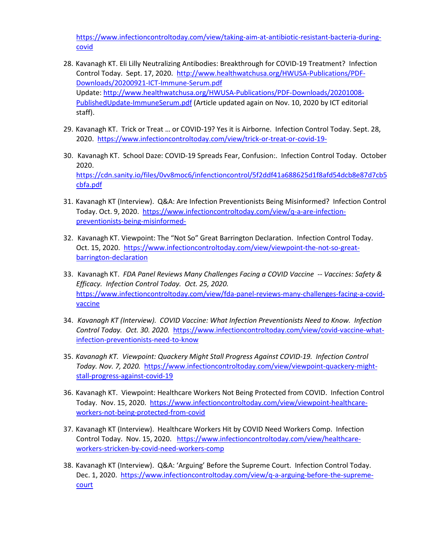[https://www.infectioncontroltoday.com/view/taking-aim-at-antibiotic-resistant-bacteria-during](https://www.infectioncontroltoday.com/view/taking-aim-at-antibiotic-resistant-bacteria-during-covid)[covid](https://www.infectioncontroltoday.com/view/taking-aim-at-antibiotic-resistant-bacteria-during-covid) 

- 28. Kavanagh KT. Eli Lilly Neutralizing Antibodies: Breakthrough for COVID-19 Treatment? Infection Control Today. Sept. 17, 2020. [http://www.healthwatchusa.org/HWUSA-Publications/PDF-](http://www.healthwatchusa.org/HWUSA-Publications/PDF-Downloads/20200921-ICT-Immune-Serum.pdf)[Downloads/20200921-ICT-Immune-Serum.pdf](http://www.healthwatchusa.org/HWUSA-Publications/PDF-Downloads/20200921-ICT-Immune-Serum.pdf)  Update[: http://www.healthwatchusa.org/HWUSA-Publications/PDF-Downloads/20201008-](http://www.healthwatchusa.org/HWUSA-Publications/PDF-Downloads/20201008-PublishedUpdate-ImmuneSerum.pdf) [PublishedUpdate-ImmuneSerum.pdf](http://www.healthwatchusa.org/HWUSA-Publications/PDF-Downloads/20201008-PublishedUpdate-ImmuneSerum.pdf) (Article updated again on Nov. 10, 2020 by ICT editorial staff).
- 29. Kavanagh KT. Trick or Treat … or COVID-19? Yes it is Airborne. Infection Control Today. Sept. 28, 2020. <https://www.infectioncontroltoday.com/view/trick-or-treat-or-covid-19->
- 30. Kavanagh KT. School Daze: COVID-19 Spreads Fear, Confusion:. Infection Control Today. October 2020. [https://cdn.sanity.io/files/0vv8moc6/infenctioncontrol/5f2ddf41a688625d1f8afd54dcb8e87d7cb5](https://cdn.sanity.io/files/0vv8moc6/infenctioncontrol/5f2ddf41a688625d1f8afd54dcb8e87d7cb5cbfa.pdf) [cbfa.pdf](https://cdn.sanity.io/files/0vv8moc6/infenctioncontrol/5f2ddf41a688625d1f8afd54dcb8e87d7cb5cbfa.pdf)
- 31. Kavanagh KT (Interview). Q&A: Are Infection Preventionists Being Misinformed? Infection Control Today. Oct. 9, 2020. [https://www.infectioncontroltoday.com/view/q-a-are-infection](https://www.infectioncontroltoday.com/view/q-a-are-infection-preventionists-being-misinformed-)[preventionists-being-misinformed-](https://www.infectioncontroltoday.com/view/q-a-are-infection-preventionists-being-misinformed-)
- 32. Kavanagh KT. Viewpoint: The "Not So" Great Barrington Declaration. Infection Control Today. Oct. 15, 2020. [https://www.infectioncontroltoday.com/view/viewpoint-the-not-so-great](https://www.infectioncontroltoday.com/view/viewpoint-the-not-so-great-barrington-declaration)[barrington-declaration](https://www.infectioncontroltoday.com/view/viewpoint-the-not-so-great-barrington-declaration)
- 33. Kavanagh KT. *FDA Panel Reviews Many Challenges Facing a COVID Vaccine -- Vaccines: Safety & Efficacy. Infection Control Today. Oct. 25, 2020.*  [https://www.infectioncontroltoday.com/view/fda-panel-reviews-many-challenges-facing-a-covid](https://www.infectioncontroltoday.com/view/fda-panel-reviews-many-challenges-facing-a-covid-vaccine)[vaccine](https://www.infectioncontroltoday.com/view/fda-panel-reviews-many-challenges-facing-a-covid-vaccine)
- 34. *Kavanagh KT (Interview). COVID Vaccine: What Infection Preventionists Need to Know. Infection Control Today. Oct. 30. 2020.* [https://www.infectioncontroltoday.com/view/covid-vaccine-what](https://www.infectioncontroltoday.com/view/covid-vaccine-what-infection-preventionists-need-to-know)[infection-preventionists-need-to-know](https://www.infectioncontroltoday.com/view/covid-vaccine-what-infection-preventionists-need-to-know)
- 35. *Kavanagh KT. Viewpoint: Quackery Might Stall Progress Against COVID-19. Infection Control Today. Nov. 7, 2020.* [https://www.infectioncontroltoday.com/view/viewpoint-quackery-might](https://www.infectioncontroltoday.com/view/viewpoint-quackery-might-stall-progress-against-covid-19)[stall-progress-against-covid-19](https://www.infectioncontroltoday.com/view/viewpoint-quackery-might-stall-progress-against-covid-19)
- 36. Kavanagh KT. Viewpoint: Healthcare Workers Not Being Protected from COVID. Infection Control Today. Nov. 15, 2020. [https://www.infectioncontroltoday.com/view/viewpoint-healthcare](https://www.infectioncontroltoday.com/view/viewpoint-healthcare-workers-not-being-protected-from-covid)[workers-not-being-protected-from-covid](https://www.infectioncontroltoday.com/view/viewpoint-healthcare-workers-not-being-protected-from-covid)
- 37. Kavanagh KT (Interview). Healthcare Workers Hit by COVID Need Workers Comp. Infection Control Today. Nov. 15, 2020. [https://www.infectioncontroltoday.com/view/healthcare](https://www.infectioncontroltoday.com/view/healthcare-workers-stricken-by-covid-need-workers-comp)[workers-stricken-by-covid-need-workers-comp](https://www.infectioncontroltoday.com/view/healthcare-workers-stricken-by-covid-need-workers-comp)
- 38. Kavanagh KT (Interview). Q&A: 'Arguing' Before the Supreme Court. Infection Control Today. Dec. 1, 2020.[https://www.infectioncontroltoday.com/view/q-a-arguing-before-the-supreme](https://www.infectioncontroltoday.com/view/q-a-arguing-before-the-supreme-court)[court](https://www.infectioncontroltoday.com/view/q-a-arguing-before-the-supreme-court)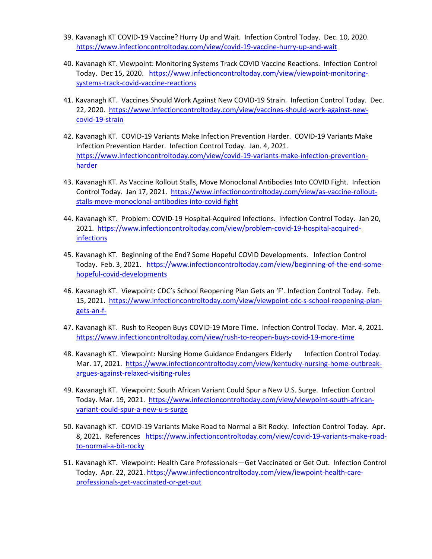- 39. Kavanagh KT COVID-19 Vaccine? Hurry Up and Wait. Infection Control Today. Dec. 10, 2020. <https://www.infectioncontroltoday.com/view/covid-19-vaccine-hurry-up-and-wait>
- 40. Kavanagh KT. Viewpoint: Monitoring Systems Track COVID Vaccine Reactions. Infection Control Today. Dec 15, 2020. [https://www.infectioncontroltoday.com/view/viewpoint-monitoring](https://www.infectioncontroltoday.com/view/viewpoint-monitoring-systems-track-covid-vaccine-reactions)[systems-track-covid-vaccine-reactions](https://www.infectioncontroltoday.com/view/viewpoint-monitoring-systems-track-covid-vaccine-reactions)
- 41. Kavanagh KT. Vaccines Should Work Against New COVID-19 Strain. Infection Control Today. Dec. 22, 2020. [https://www.infectioncontroltoday.com/view/vaccines-should-work-against-new](https://www.infectioncontroltoday.com/view/vaccines-should-work-against-new-covid-19-strain)[covid-19-strain](https://www.infectioncontroltoday.com/view/vaccines-should-work-against-new-covid-19-strain)
- 42. Kavanagh KT. COVID-19 Variants Make Infection Prevention Harder. COVID-19 Variants Make Infection Prevention Harder. Infection Control Today. Jan. 4, 2021. [https://www.infectioncontroltoday.com/view/covid-19-variants-make-infection-prevention](https://www.infectioncontroltoday.com/view/covid-19-variants-make-infection-prevention-harder)[harder](https://www.infectioncontroltoday.com/view/covid-19-variants-make-infection-prevention-harder)
- 43. Kavanagh KT. As Vaccine Rollout Stalls, Move Monoclonal Antibodies Into COVID Fight. Infection Control Today. Jan 17, 2021. [https://www.infectioncontroltoday.com/view/as-vaccine-rollout](https://www.infectioncontroltoday.com/view/as-vaccine-rollout-stalls-move-monoclonal-antibodies-into-covid-fight)[stalls-move-monoclonal-antibodies-into-covid-fight](https://www.infectioncontroltoday.com/view/as-vaccine-rollout-stalls-move-monoclonal-antibodies-into-covid-fight)
- 44. Kavanagh KT. Problem: COVID-19 Hospital-Acquired Infections. Infection Control Today. Jan 20, 2021. [https://www.infectioncontroltoday.com/view/problem-covid-19-hospital-acquired](https://www.infectioncontroltoday.com/view/problem-covid-19-hospital-acquired-infections)[infections](https://www.infectioncontroltoday.com/view/problem-covid-19-hospital-acquired-infections)
- 45. Kavanagh KT. Beginning of the End? Some Hopeful COVID Developments. Infection Control Today. Feb. 3, 2021. [https://www.infectioncontroltoday.com/view/beginning-of-the-end-some](https://www.infectioncontroltoday.com/view/beginning-of-the-end-some-hopeful-covid-developments)[hopeful-covid-developments](https://www.infectioncontroltoday.com/view/beginning-of-the-end-some-hopeful-covid-developments)
- 46. Kavanagh KT. Viewpoint: CDC's School Reopening Plan Gets an 'F'. Infection Control Today. Feb. 15, 2021. [https://www.infectioncontroltoday.com/view/viewpoint-cdc-s-school-reopening-plan](https://www.infectioncontroltoday.com/view/viewpoint-cdc-s-school-reopening-plan-gets-an-f-)[gets-an-f-](https://www.infectioncontroltoday.com/view/viewpoint-cdc-s-school-reopening-plan-gets-an-f-)
- 47. Kavanagh KT. Rush to Reopen Buys COVID-19 More Time. Infection Control Today. Mar. 4, 2021. <https://www.infectioncontroltoday.com/view/rush-to-reopen-buys-covid-19-more-time>
- 48. Kavanagh KT. Viewpoint: Nursing Home Guidance Endangers Elderly Infection Control Today. Mar. 17, 2021. [https://www.infectioncontroltoday.com/view/kentucky-nursing-home-outbreak](https://www.infectioncontroltoday.com/view/kentucky-nursing-home-outbreak-argues-against-relaxed-visiting-rules)[argues-against-relaxed-visiting-rules](https://www.infectioncontroltoday.com/view/kentucky-nursing-home-outbreak-argues-against-relaxed-visiting-rules)
- 49. Kavanagh KT. Viewpoint: South African Variant Could Spur a New U.S. Surge. Infection Control Today. Mar. 19, 2021. [https://www.infectioncontroltoday.com/view/viewpoint-south-african](https://www.infectioncontroltoday.com/view/viewpoint-south-african-variant-could-spur-a-new-u-s-surge)[variant-could-spur-a-new-u-s-surge](https://www.infectioncontroltoday.com/view/viewpoint-south-african-variant-could-spur-a-new-u-s-surge)
- 50. Kavanagh KT. COVID-19 Variants Make Road to Normal a Bit Rocky. Infection Control Today. Apr. 8, 2021. References [https://www.infectioncontroltoday.com/view/covid-19-variants-make-road](https://www.infectioncontroltoday.com/view/covid-19-variants-make-road-to-normal-a-bit-rocky)[to-normal-a-bit-rocky](https://www.infectioncontroltoday.com/view/covid-19-variants-make-road-to-normal-a-bit-rocky)
- 51. Kavanagh KT. Viewpoint: Health Care Professionals—Get Vaccinated or Get Out. Infection Control Today. Apr. 22, 2021. [https://www.infectioncontroltoday.com/view/iewpoint-health-care](https://www.infectioncontroltoday.com/view/iewpoint-health-care-professionals-get-vaccinated-or-get-out)[professionals-get-vaccinated-or-get-out](https://www.infectioncontroltoday.com/view/iewpoint-health-care-professionals-get-vaccinated-or-get-out)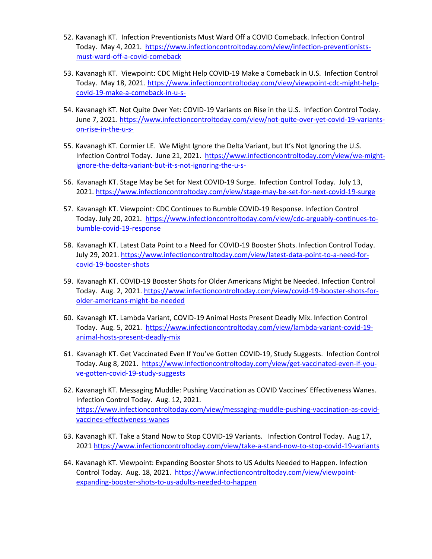- 52. Kavanagh KT. Infection Preventionists Must Ward Off a COVID Comeback. Infection Control Today. May 4, 2021. [https://www.infectioncontroltoday.com/view/infection-preventionists](https://www.infectioncontroltoday.com/view/infection-preventionists-must-ward-off-a-covid-comeback)[must-ward-off-a-covid-comeback](https://www.infectioncontroltoday.com/view/infection-preventionists-must-ward-off-a-covid-comeback)
- 53. Kavanagh KT. Viewpoint: CDC Might Help COVID-19 Make a Comeback in U.S. Infection Control Today. May 18, 2021. [https://www.infectioncontroltoday.com/view/viewpoint-cdc-might-help](https://www.infectioncontroltoday.com/view/viewpoint-cdc-might-help-covid-19-make-a-comeback-in-u-s-)[covid-19-make-a-comeback-in-u-s-](https://www.infectioncontroltoday.com/view/viewpoint-cdc-might-help-covid-19-make-a-comeback-in-u-s-)
- 54. Kavanagh KT. Not Quite Over Yet: COVID-19 Variants on Rise in the U.S. Infection Control Today. June 7, 2021[. https://www.infectioncontroltoday.com/view/not-quite-over-yet-covid-19-variants](https://www.infectioncontroltoday.com/view/not-quite-over-yet-covid-19-variants-on-rise-in-the-u-s-)[on-rise-in-the-u-s-](https://www.infectioncontroltoday.com/view/not-quite-over-yet-covid-19-variants-on-rise-in-the-u-s-)
- 55. Kavanagh KT. Cormier LE. We Might Ignore the Delta Variant, but It's Not Ignoring the U.S. Infection Control Today. June 21, 2021. [https://www.infectioncontroltoday.com/view/we-might](https://www.infectioncontroltoday.com/view/we-might-ignore-the-delta-variant-but-it-s-not-ignoring-the-u-s-)[ignore-the-delta-variant-but-it-s-not-ignoring-the-u-s-](https://www.infectioncontroltoday.com/view/we-might-ignore-the-delta-variant-but-it-s-not-ignoring-the-u-s-)
- 56. Kavanagh KT. Stage May be Set for Next COVID-19 Surge. Infection Control Today. July 13, 2021[. https://www.infectioncontroltoday.com/view/stage-may-be-set-for-next-covid-19-surge](https://www.infectioncontroltoday.com/view/stage-may-be-set-for-next-covid-19-surge)
- 57. Kavanagh KT. Viewpoint: CDC Continues to Bumble COVID-19 Response. Infection Control Today. July 20, 2021. [https://www.infectioncontroltoday.com/view/cdc-arguably-continues-to](https://www.infectioncontroltoday.com/view/cdc-arguably-continues-to-bumble-covid-19-response)[bumble-covid-19-response](https://www.infectioncontroltoday.com/view/cdc-arguably-continues-to-bumble-covid-19-response)
- 58. Kavanagh KT. Latest Data Point to a Need for COVID-19 Booster Shots. Infection Control Today. July 29, 2021. [https://www.infectioncontroltoday.com/view/latest-data-point-to-a-need-for](https://www.infectioncontroltoday.com/view/latest-data-point-to-a-need-for-covid-19-booster-shots)[covid-19-booster-shots](https://www.infectioncontroltoday.com/view/latest-data-point-to-a-need-for-covid-19-booster-shots)
- 59. Kavanagh KT. COVID-19 Booster Shots for Older Americans Might be Needed. Infection Control Today. Aug. 2, 2021. [https://www.infectioncontroltoday.com/view/covid-19-booster-shots-for](https://www.infectioncontroltoday.com/view/covid-19-booster-shots-for-older-americans-might-be-needed)[older-americans-might-be-needed](https://www.infectioncontroltoday.com/view/covid-19-booster-shots-for-older-americans-might-be-needed)
- 60. Kavanagh KT. Lambda Variant, COVID-19 Animal Hosts Present Deadly Mix. Infection Control Today. Aug. 5, 2021. [https://www.infectioncontroltoday.com/view/lambda-variant-covid-19](https://www.infectioncontroltoday.com/view/lambda-variant-covid-19-animal-hosts-present-deadly-mix) [animal-hosts-present-deadly-mix](https://www.infectioncontroltoday.com/view/lambda-variant-covid-19-animal-hosts-present-deadly-mix)
- 61. Kavanagh KT. Get Vaccinated Even If You've Gotten COVID-19, Study Suggests. Infection Control Today. Aug 8, 2021. [https://www.infectioncontroltoday.com/view/get-vaccinated-even-if-you](https://www.infectioncontroltoday.com/view/get-vaccinated-even-if-you-ve-gotten-covid-19-study-suggests)[ve-gotten-covid-19-study-suggests](https://www.infectioncontroltoday.com/view/get-vaccinated-even-if-you-ve-gotten-covid-19-study-suggests)
- 62. Kavanagh KT. Messaging Muddle: Pushing Vaccination as COVID Vaccines' Effectiveness Wanes. Infection Control Today. Aug. 12, 2021. [https://www.infectioncontroltoday.com/view/messaging-muddle-pushing-vaccination-as-covid](https://www.infectioncontroltoday.com/view/messaging-muddle-pushing-vaccination-as-covid-vaccines-effectiveness-wanes)[vaccines-effectiveness-wanes](https://www.infectioncontroltoday.com/view/messaging-muddle-pushing-vaccination-as-covid-vaccines-effectiveness-wanes)
- 63. Kavanagh KT. Take a Stand Now to Stop COVID-19 Variants. Infection Control Today. Aug 17, 2021<https://www.infectioncontroltoday.com/view/take-a-stand-now-to-stop-covid-19-variants>
- 64. Kavanagh KT. Viewpoint: Expanding Booster Shots to US Adults Needed to Happen. Infection Control Today. Aug. 18, 2021. [https://www.infectioncontroltoday.com/view/viewpoint](https://www.infectioncontroltoday.com/view/viewpoint-expanding-booster-shots-to-us-adults-needed-to-happen)[expanding-booster-shots-to-us-adults-needed-to-happen](https://www.infectioncontroltoday.com/view/viewpoint-expanding-booster-shots-to-us-adults-needed-to-happen)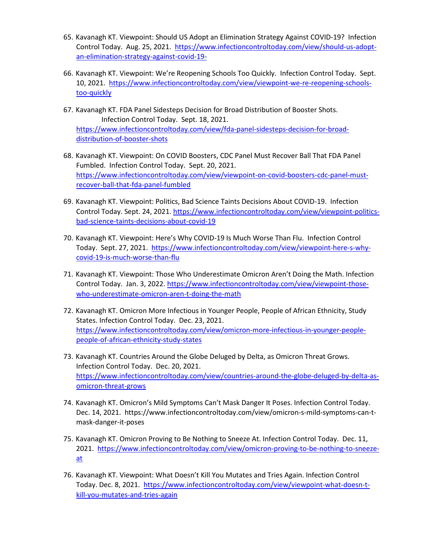- 65. Kavanagh KT. Viewpoint: Should US Adopt an Elimination Strategy Against COVID-19? Infection Control Today. Aug. 25, 2021. [https://www.infectioncontroltoday.com/view/should-us-adopt](https://www.infectioncontroltoday.com/view/should-us-adopt-an-elimination-strategy-against-covid-19-)[an-elimination-strategy-against-covid-19-](https://www.infectioncontroltoday.com/view/should-us-adopt-an-elimination-strategy-against-covid-19-)
- 66. Kavanagh KT. Viewpoint: We're Reopening Schools Too Quickly. Infection Control Today. Sept. 10, 2021. [https://www.infectioncontroltoday.com/view/viewpoint-we-re-reopening-schools](https://www.infectioncontroltoday.com/view/viewpoint-we-re-reopening-schools-too-quickly)[too-quickly](https://www.infectioncontroltoday.com/view/viewpoint-we-re-reopening-schools-too-quickly)
- 67. Kavanagh KT. FDA Panel Sidesteps Decision for Broad Distribution of Booster Shots. Infection Control Today. Sept. 18, 2021. [https://www.infectioncontroltoday.com/view/fda-panel-sidesteps-decision-for-broad](https://www.infectioncontroltoday.com/view/fda-panel-sidesteps-decision-for-broad-distribution-of-booster-shots)[distribution-of-booster-shots](https://www.infectioncontroltoday.com/view/fda-panel-sidesteps-decision-for-broad-distribution-of-booster-shots)
- 68. Kavanagh KT. Viewpoint: On COVID Boosters, CDC Panel Must Recover Ball That FDA Panel Fumbled. Infection Control Today. Sept. 20, 2021. [https://www.infectioncontroltoday.com/view/viewpoint-on-covid-boosters-cdc-panel-must](https://www.infectioncontroltoday.com/view/viewpoint-on-covid-boosters-cdc-panel-must-recover-ball-that-fda-panel-fumbled)[recover-ball-that-fda-panel-fumbled](https://www.infectioncontroltoday.com/view/viewpoint-on-covid-boosters-cdc-panel-must-recover-ball-that-fda-panel-fumbled)
- 69. Kavanagh KT. Viewpoint: Politics, Bad Science Taints Decisions About COVID-19. Infection Control Today. Sept. 24, 2021[. https://www.infectioncontroltoday.com/view/viewpoint-politics](https://www.infectioncontroltoday.com/view/viewpoint-politics-bad-science-taints-decisions-about-covid-19)[bad-science-taints-decisions-about-covid-19](https://www.infectioncontroltoday.com/view/viewpoint-politics-bad-science-taints-decisions-about-covid-19)
- 70. Kavanagh KT. Viewpoint: Here's Why COVID-19 Is Much Worse Than Flu. Infection Control Today. Sept. 27, 2021. [https://www.infectioncontroltoday.com/view/viewpoint-here-s-why](https://www.infectioncontroltoday.com/view/viewpoint-here-s-why-covid-19-is-much-worse-than-flu)[covid-19-is-much-worse-than-flu](https://www.infectioncontroltoday.com/view/viewpoint-here-s-why-covid-19-is-much-worse-than-flu)
- 71. Kavanagh KT. Viewpoint: Those Who Underestimate Omicron Aren't Doing the Math. Infection Control Today. Jan. 3, 2022. [https://www.infectioncontroltoday.com/view/viewpoint-those](https://www.infectioncontroltoday.com/view/viewpoint-those-who-underestimate-omicron-aren-t-doing-the-math)[who-underestimate-omicron-aren-t-doing-the-math](https://www.infectioncontroltoday.com/view/viewpoint-those-who-underestimate-omicron-aren-t-doing-the-math)
- 72. Kavanagh KT. Omicron More Infectious in Younger People, People of African Ethnicity, Study States. Infection Control Today. Dec. 23, 2021. [https://www.infectioncontroltoday.com/view/omicron-more-infectious-in-younger-people](https://www.infectioncontroltoday.com/view/omicron-more-infectious-in-younger-people-people-of-african-ethnicity-study-states)[people-of-african-ethnicity-study-states](https://www.infectioncontroltoday.com/view/omicron-more-infectious-in-younger-people-people-of-african-ethnicity-study-states)
- 73. Kavanagh KT. Countries Around the Globe Deluged by Delta, as Omicron Threat Grows. Infection Control Today. Dec. 20, 2021. [https://www.infectioncontroltoday.com/view/countries-around-the-globe-deluged-by-delta-as](https://www.infectioncontroltoday.com/view/countries-around-the-globe-deluged-by-delta-as-omicron-threat-grows)[omicron-threat-grows](https://www.infectioncontroltoday.com/view/countries-around-the-globe-deluged-by-delta-as-omicron-threat-grows)
- 74. Kavanagh KT. Omicron's Mild Symptoms Can't Mask Danger It Poses. Infection Control Today. Dec. 14, 2021. https://www.infectioncontroltoday.com/view/omicron-s-mild-symptoms-can-tmask-danger-it-poses
- 75. Kavanagh KT. Omicron Proving to Be Nothing to Sneeze At. Infection Control Today. Dec. 11, 2021. [https://www.infectioncontroltoday.com/view/omicron-proving-to-be-nothing-to-sneeze](https://www.infectioncontroltoday.com/view/omicron-proving-to-be-nothing-to-sneeze-at)[at](https://www.infectioncontroltoday.com/view/omicron-proving-to-be-nothing-to-sneeze-at)
- 76. Kavanagh KT. Viewpoint: What Doesn't Kill You Mutates and Tries Again. Infection Control Today. Dec. 8, 2021. [https://www.infectioncontroltoday.com/view/viewpoint-what-doesn-t](https://www.infectioncontroltoday.com/view/viewpoint-what-doesn-t-kill-you-mutates-and-tries-again)[kill-you-mutates-and-tries-again](https://www.infectioncontroltoday.com/view/viewpoint-what-doesn-t-kill-you-mutates-and-tries-again)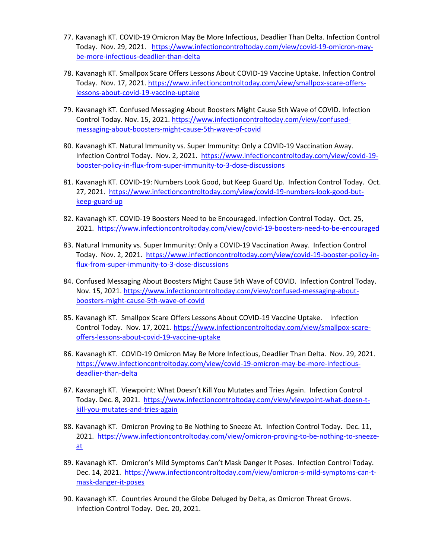- 77. Kavanagh KT. COVID-19 Omicron May Be More Infectious, Deadlier Than Delta. Infection Control Today. Nov. 29, 2021. [https://www.infectioncontroltoday.com/view/covid-19-omicron-may](https://www.infectioncontroltoday.com/view/covid-19-omicron-may-be-more-infectious-deadlier-than-delta)[be-more-infectious-deadlier-than-delta](https://www.infectioncontroltoday.com/view/covid-19-omicron-may-be-more-infectious-deadlier-than-delta)
- 78. Kavanagh KT. Smallpox Scare Offers Lessons About COVID-19 Vaccine Uptake. Infection Control Today. Nov. 17, 2021. [https://www.infectioncontroltoday.com/view/smallpox-scare-offers](https://www.infectioncontroltoday.com/view/smallpox-scare-offers-lessons-about-covid-19-vaccine-uptake)[lessons-about-covid-19-vaccine-uptake](https://www.infectioncontroltoday.com/view/smallpox-scare-offers-lessons-about-covid-19-vaccine-uptake)
- 79. Kavanagh KT. Confused Messaging About Boosters Might Cause 5th Wave of COVID. Infection Control Today. Nov. 15, 2021. [https://www.infectioncontroltoday.com/view/confused](https://www.infectioncontroltoday.com/view/confused-messaging-about-boosters-might-cause-5th-wave-of-covid)[messaging-about-boosters-might-cause-5th-wave-of-covid](https://www.infectioncontroltoday.com/view/confused-messaging-about-boosters-might-cause-5th-wave-of-covid)
- 80. Kavanagh KT. Natural Immunity vs. Super Immunity: Only a COVID-19 Vaccination Away. Infection Control Today. Nov. 2, 2021. [https://www.infectioncontroltoday.com/view/covid-19](https://www.infectioncontroltoday.com/view/covid-19-booster-policy-in-flux-from-super-immunity-to-3-dose-discussions) [booster-policy-in-flux-from-super-immunity-to-3-dose-discussions](https://www.infectioncontroltoday.com/view/covid-19-booster-policy-in-flux-from-super-immunity-to-3-dose-discussions)
- 81. Kavanagh KT. COVID-19: Numbers Look Good, but Keep Guard Up. Infection Control Today. Oct. 27, 2021. [https://www.infectioncontroltoday.com/view/covid-19-numbers-look-good-but](https://www.infectioncontroltoday.com/view/covid-19-numbers-look-good-but-keep-guard-up)[keep-guard-up](https://www.infectioncontroltoday.com/view/covid-19-numbers-look-good-but-keep-guard-up)
- 82. Kavanagh KT. COVID-19 Boosters Need to be Encouraged. Infection Control Today. Oct. 25, 2021. <https://www.infectioncontroltoday.com/view/covid-19-boosters-need-to-be-encouraged>
- 83. Natural Immunity vs. Super Immunity: Only a COVID-19 Vaccination Away. Infection Control Today. Nov. 2, 2021. [https://www.infectioncontroltoday.com/view/covid-19-booster-policy-in](https://www.infectioncontroltoday.com/view/covid-19-booster-policy-in-flux-from-super-immunity-to-3-dose-discussions)[flux-from-super-immunity-to-3-dose-discussions](https://www.infectioncontroltoday.com/view/covid-19-booster-policy-in-flux-from-super-immunity-to-3-dose-discussions)
- 84. Confused Messaging About Boosters Might Cause 5th Wave of COVID. Infection Control Today. Nov. 15, 2021. [https://www.infectioncontroltoday.com/view/confused-messaging-about](https://www.infectioncontroltoday.com/view/confused-messaging-about-boosters-might-cause-5th-wave-of-covid)[boosters-might-cause-5th-wave-of-covid](https://www.infectioncontroltoday.com/view/confused-messaging-about-boosters-might-cause-5th-wave-of-covid)
- 85. Kavanagh KT. Smallpox Scare Offers Lessons About COVID-19 Vaccine Uptake. Infection Control Today. Nov. 17, 2021. [https://www.infectioncontroltoday.com/view/smallpox-scare](https://www.infectioncontroltoday.com/view/smallpox-scare-offers-lessons-about-covid-19-vaccine-uptake)[offers-lessons-about-covid-19-vaccine-uptake](https://www.infectioncontroltoday.com/view/smallpox-scare-offers-lessons-about-covid-19-vaccine-uptake)
- 86. Kavanagh KT. COVID-19 Omicron May Be More Infectious, Deadlier Than Delta. Nov. 29, 2021. [https://www.infectioncontroltoday.com/view/covid-19-omicron-may-be-more-infectious](https://www.infectioncontroltoday.com/view/covid-19-omicron-may-be-more-infectious-deadlier-than-delta)[deadlier-than-delta](https://www.infectioncontroltoday.com/view/covid-19-omicron-may-be-more-infectious-deadlier-than-delta)
- 87. Kavanagh KT. Viewpoint: What Doesn't Kill You Mutates and Tries Again. Infection Control Today. Dec. 8, 2021. [https://www.infectioncontroltoday.com/view/viewpoint-what-doesn-t](https://www.infectioncontroltoday.com/view/viewpoint-what-doesn-t-kill-you-mutates-and-tries-again)[kill-you-mutates-and-tries-again](https://www.infectioncontroltoday.com/view/viewpoint-what-doesn-t-kill-you-mutates-and-tries-again)
- 88. Kavanagh KT. Omicron Proving to Be Nothing to Sneeze At. Infection Control Today. Dec. 11, 2021. [https://www.infectioncontroltoday.com/view/omicron-proving-to-be-nothing-to-sneeze](https://www.infectioncontroltoday.com/view/omicron-proving-to-be-nothing-to-sneeze-at)[at](https://www.infectioncontroltoday.com/view/omicron-proving-to-be-nothing-to-sneeze-at)
- 89. Kavanagh KT. Omicron's Mild Symptoms Can't Mask Danger It Poses. Infection Control Today. Dec. 14, 2021. [https://www.infectioncontroltoday.com/view/omicron-s-mild-symptoms-can-t](https://www.infectioncontroltoday.com/view/omicron-s-mild-symptoms-can-t-mask-danger-it-poses)[mask-danger-it-poses](https://www.infectioncontroltoday.com/view/omicron-s-mild-symptoms-can-t-mask-danger-it-poses)
- 90. Kavanagh KT. Countries Around the Globe Deluged by Delta, as Omicron Threat Grows. Infection Control Today. Dec. 20, 2021.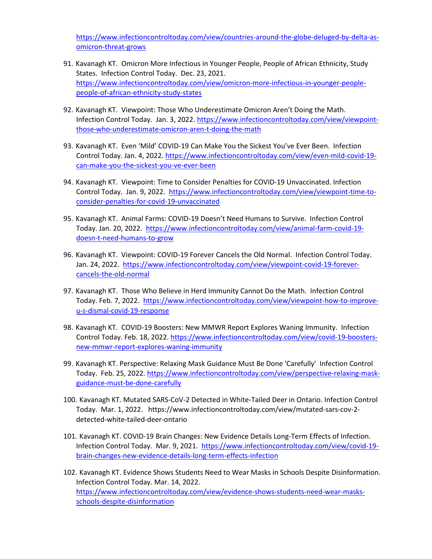[https://www.infectioncontroltoday.com/view/countries-around-the-globe-deluged-by-delta-as](https://www.infectioncontroltoday.com/view/countries-around-the-globe-deluged-by-delta-as-omicron-threat-grows)[omicron-threat-grows](https://www.infectioncontroltoday.com/view/countries-around-the-globe-deluged-by-delta-as-omicron-threat-grows)

- 91. Kavanagh KT. Omicron More Infectious in Younger People, People of African Ethnicity, Study States. Infection Control Today. Dec. 23, 2021. [https://www.infectioncontroltoday.com/view/omicron-more-infectious-in-younger-people](https://www.infectioncontroltoday.com/view/omicron-more-infectious-in-younger-people-people-of-african-ethnicity-study-states)[people-of-african-ethnicity-study-states](https://www.infectioncontroltoday.com/view/omicron-more-infectious-in-younger-people-people-of-african-ethnicity-study-states)
- 92. Kavanagh KT. Viewpoint: Those Who Underestimate Omicron Aren't Doing the Math. Infection Control Today. Jan. 3, 2022. [https://www.infectioncontroltoday.com/view/viewpoint](https://www.infectioncontroltoday.com/view/viewpoint-those-who-underestimate-omicron-aren-t-doing-the-math)[those-who-underestimate-omicron-aren-t-doing-the-math](https://www.infectioncontroltoday.com/view/viewpoint-those-who-underestimate-omicron-aren-t-doing-the-math)
- 93. Kavanagh KT. Even 'Mild' COVID-19 Can Make You the Sickest You've Ever Been. Infection Control Today. Jan. 4, 2022. [https://www.infectioncontroltoday.com/view/even-mild-covid-19](https://www.infectioncontroltoday.com/view/even-mild-covid-19-can-make-you-the-sickest-you-ve-ever-been) [can-make-you-the-sickest-you-ve-ever-been](https://www.infectioncontroltoday.com/view/even-mild-covid-19-can-make-you-the-sickest-you-ve-ever-been)
- 94. Kavanagh KT. Viewpoint: Time to Consider Penalties for COVID-19 Unvaccinated. Infection Control Today. Jan. 9, 2022. [https://www.infectioncontroltoday.com/view/viewpoint-time-to](https://www.infectioncontroltoday.com/view/viewpoint-time-to-consider-penalties-for-covid-19-unvaccinated)[consider-penalties-for-covid-19-unvaccinated](https://www.infectioncontroltoday.com/view/viewpoint-time-to-consider-penalties-for-covid-19-unvaccinated)
- 95. Kavanagh KT. Animal Farms: COVID-19 Doesn't Need Humans to Survive. Infection Control Today. Jan. 20, 2022. [https://www.infectioncontroltoday.com/view/animal-farm-covid-19](https://www.infectioncontroltoday.com/view/animal-farm-covid-19-doesn-t-need-humans-to-grow) [doesn-t-need-humans-to-grow](https://www.infectioncontroltoday.com/view/animal-farm-covid-19-doesn-t-need-humans-to-grow)
- 96. Kavanagh KT. Viewpoint: COVID-19 Forever Cancels the Old Normal. Infection Control Today. Jan. 24, 2022. [https://www.infectioncontroltoday.com/view/viewpoint-covid-19-forever](https://www.infectioncontroltoday.com/view/viewpoint-covid-19-forever-cancels-the-old-normal)[cancels-the-old-normal](https://www.infectioncontroltoday.com/view/viewpoint-covid-19-forever-cancels-the-old-normal)
- 97. Kavanagh KT. Those Who Believe in Herd Immunity Cannot Do the Math. Infection Control Today. Feb. 7, 2022. [https://www.infectioncontroltoday.com/view/viewpoint-how-to-improve](https://www.infectioncontroltoday.com/view/viewpoint-how-to-improve-u-s-dismal-covid-19-response)[u-s-dismal-covid-19-response](https://www.infectioncontroltoday.com/view/viewpoint-how-to-improve-u-s-dismal-covid-19-response)
- 98. Kavanagh KT. COVID-19 Boosters: New MMWR Report Explores Waning Immunity. Infection Control Today. Feb. 18, 2022[. https://www.infectioncontroltoday.com/view/covid-19-boosters](https://www.infectioncontroltoday.com/view/covid-19-boosters-new-mmwr-report-explores-waning-immunity)[new-mmwr-report-explores-waning-immunity](https://www.infectioncontroltoday.com/view/covid-19-boosters-new-mmwr-report-explores-waning-immunity)
- 99. Kavanagh KT. Perspective: Relaxing Mask Guidance Must Be Done 'Carefully' Infection Control Today. Feb. 25, 2022[. https://www.infectioncontroltoday.com/view/perspective-relaxing-mask](https://www.infectioncontroltoday.com/view/perspective-relaxing-mask-guidance-must-be-done-carefully)[guidance-must-be-done-carefully](https://www.infectioncontroltoday.com/view/perspective-relaxing-mask-guidance-must-be-done-carefully)
- 100. Kavanagh KT. Mutated SARS-CoV-2 Detected in White-Tailed Deer in Ontario. Infection Control Today. Mar. 1, 2022. https://www.infectioncontroltoday.com/view/mutated-sars-cov-2 detected-white-tailed-deer-ontario
- 101. Kavanagh KT. COVID-19 Brain Changes: New Evidence Details Long-Term Effects of Infection. Infection Control Today. Mar. 9, 2021. [https://www.infectioncontroltoday.com/view/covid-19](https://www.infectioncontroltoday.com/view/covid-19-brain-changes-new-evidence-details-long-term-effects-infection) [brain-changes-new-evidence-details-long-term-effects-infection](https://www.infectioncontroltoday.com/view/covid-19-brain-changes-new-evidence-details-long-term-effects-infection)
- 102. Kavanagh KT. Evidence Shows Students Need to Wear Masks in Schools Despite Disinformation. Infection Control Today. Mar. 14, 2022. [https://www.infectioncontroltoday.com/view/evidence-shows-students-need-wear-masks](https://www.infectioncontroltoday.com/view/evidence-shows-students-need-wear-masks-schools-despite-disinformation)[schools-despite-disinformation](https://www.infectioncontroltoday.com/view/evidence-shows-students-need-wear-masks-schools-despite-disinformation)